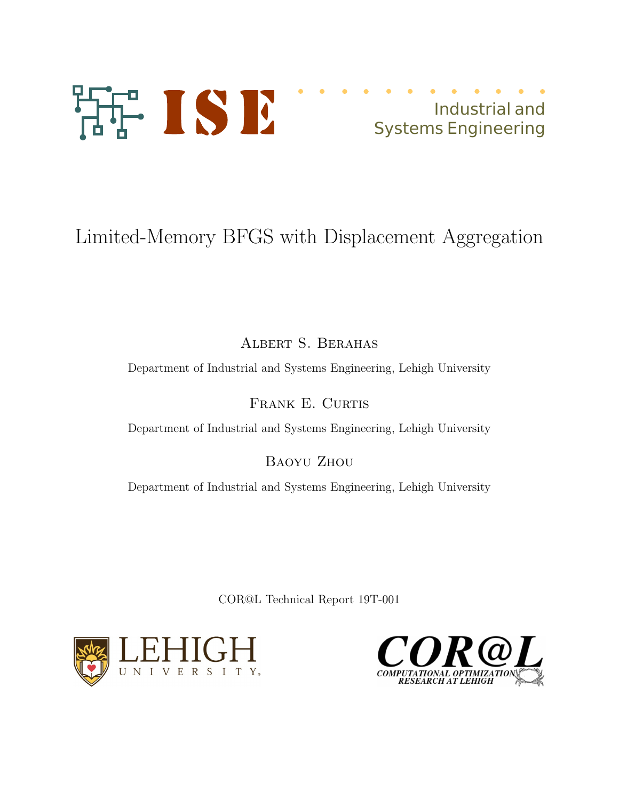

## Industrial and Systems Engineering

# Limited-Memory BFGS with Displacement Aggregation

Albert S. Berahas

Department of Industrial and Systems Engineering, Lehigh University

FRANK E. CURTIS

Department of Industrial and Systems Engineering, Lehigh University

Baoyu Zhou

Department of Industrial and Systems Engineering, Lehigh University

COR@L Technical Report 19T-001



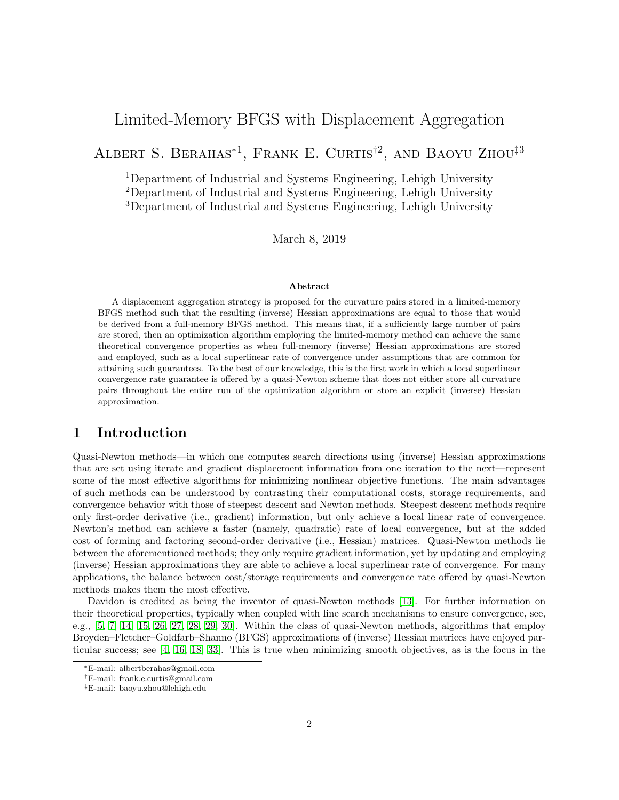## Limited-Memory BFGS with Displacement Aggregation

ALBERT S. BERAHAS<sup>\*1</sup>, FRANK E. CURTIS<sup>†2</sup>, AND BAOYU ZHOU<sup>‡3</sup>

<sup>1</sup>Department of Industrial and Systems Engineering, Lehigh University <sup>2</sup>Department of Industrial and Systems Engineering, Lehigh University <sup>3</sup>Department of Industrial and Systems Engineering, Lehigh University

March 8, 2019

#### Abstract

A displacement aggregation strategy is proposed for the curvature pairs stored in a limited-memory BFGS method such that the resulting (inverse) Hessian approximations are equal to those that would be derived from a full-memory BFGS method. This means that, if a sufficiently large number of pairs are stored, then an optimization algorithm employing the limited-memory method can achieve the same theoretical convergence properties as when full-memory (inverse) Hessian approximations are stored and employed, such as a local superlinear rate of convergence under assumptions that are common for attaining such guarantees. To the best of our knowledge, this is the first work in which a local superlinear convergence rate guarantee is offered by a quasi-Newton scheme that does not either store all curvature pairs throughout the entire run of the optimization algorithm or store an explicit (inverse) Hessian approximation.

## <span id="page-1-0"></span>1 Introduction

Quasi-Newton methods—in which one computes search directions using (inverse) Hessian approximations that are set using iterate and gradient displacement information from one iteration to the next—represent some of the most effective algorithms for minimizing nonlinear objective functions. The main advantages of such methods can be understood by contrasting their computational costs, storage requirements, and convergence behavior with those of steepest descent and Newton methods. Steepest descent methods require only first-order derivative (i.e., gradient) information, but only achieve a local linear rate of convergence. Newton's method can achieve a faster (namely, quadratic) rate of local convergence, but at the added cost of forming and factoring second-order derivative (i.e., Hessian) matrices. Quasi-Newton methods lie between the aforementioned methods; they only require gradient information, yet by updating and employing (inverse) Hessian approximations they are able to achieve a local superlinear rate of convergence. For many applications, the balance between cost/storage requirements and convergence rate offered by quasi-Newton methods makes them the most effective.

Davidon is credited as being the inventor of quasi-Newton methods [\[13\]](#page-22-0). For further information on their theoretical properties, typically when coupled with line search mechanisms to ensure convergence, see, e.g., [\[5,](#page-21-0) [7,](#page-22-1) [14,](#page-22-2) [15,](#page-22-3) [26,](#page-23-0) [27,](#page-23-1) [28,](#page-23-2) [29,](#page-23-3) [30\]](#page-23-4). Within the class of quasi-Newton methods, algorithms that employ Broyden–Fletcher–Goldfarb–Shanno (BFGS) approximations of (inverse) Hessian matrices have enjoyed particular success; see [\[4,](#page-21-1) [16,](#page-22-4) [18,](#page-22-5) [33\]](#page-23-5). This is true when minimizing smooth objectives, as is the focus in the

<sup>∗</sup>E-mail: albertberahas@gmail.com

<sup>†</sup>E-mail: frank.e.curtis@gmail.com

<sup>‡</sup>E-mail: baoyu.zhou@lehigh.edu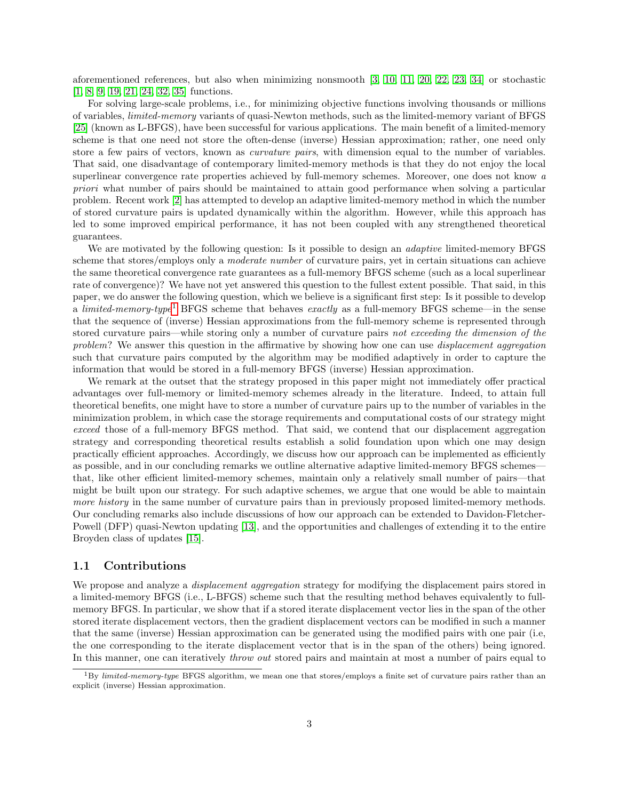aforementioned references, but also when minimizing nonsmooth [\[3,](#page-21-2) [10,](#page-22-6) [11,](#page-22-7) [20,](#page-22-8) [22,](#page-22-9) [23,](#page-22-10) [34\]](#page-23-6) or stochastic [\[1,](#page-21-3) [8,](#page-22-11) [9,](#page-22-12) [19,](#page-22-13) [21,](#page-22-14) [24,](#page-22-15) [32,](#page-23-7) [35\]](#page-23-8) functions.

For solving large-scale problems, i.e., for minimizing objective functions involving thousands or millions of variables, limited-memory variants of quasi-Newton methods, such as the limited-memory variant of BFGS [\[25\]](#page-22-16) (known as L-BFGS), have been successful for various applications. The main benefit of a limited-memory scheme is that one need not store the often-dense (inverse) Hessian approximation; rather, one need only store a few pairs of vectors, known as curvature pairs, with dimension equal to the number of variables. That said, one disadvantage of contemporary limited-memory methods is that they do not enjoy the local superlinear convergence rate properties achieved by full-memory schemes. Moreover, one does not know a priori what number of pairs should be maintained to attain good performance when solving a particular problem. Recent work [\[2\]](#page-21-4) has attempted to develop an adaptive limited-memory method in which the number of stored curvature pairs is updated dynamically within the algorithm. However, while this approach has led to some improved empirical performance, it has not been coupled with any strengthened theoretical guarantees.

We are motivated by the following question: Is it possible to design an *adaptive* limited-memory BFGS scheme that stores/employs only a *moderate number* of curvature pairs, yet in certain situations can achieve the same theoretical convergence rate guarantees as a full-memory BFGS scheme (such as a local superlinear rate of convergence)? We have not yet answered this question to the fullest extent possible. That said, in this paper, we do answer the following question, which we believe is a significant first step: Is it possible to develop a *limited-memory-type*<sup>[1](#page-2-0)</sup> BFGS scheme that behaves *exactly* as a full-memory BFGS scheme—in the sense that the sequence of (inverse) Hessian approximations from the full-memory scheme is represented through stored curvature pairs—while storing only a number of curvature pairs not exceeding the dimension of the problem? We answer this question in the affirmative by showing how one can use *displacement aggregation* such that curvature pairs computed by the algorithm may be modified adaptively in order to capture the information that would be stored in a full-memory BFGS (inverse) Hessian approximation.

We remark at the outset that the strategy proposed in this paper might not immediately offer practical advantages over full-memory or limited-memory schemes already in the literature. Indeed, to attain full theoretical benefits, one might have to store a number of curvature pairs up to the number of variables in the minimization problem, in which case the storage requirements and computational costs of our strategy might exceed those of a full-memory BFGS method. That said, we contend that our displacement aggregation strategy and corresponding theoretical results establish a solid foundation upon which one may design practically efficient approaches. Accordingly, we discuss how our approach can be implemented as efficiently as possible, and in our concluding remarks we outline alternative adaptive limited-memory BFGS schemes that, like other efficient limited-memory schemes, maintain only a relatively small number of pairs—that might be built upon our strategy. For such adaptive schemes, we argue that one would be able to maintain more history in the same number of curvature pairs than in previously proposed limited-memory methods. Our concluding remarks also include discussions of how our approach can be extended to Davidon-Fletcher-Powell (DFP) quasi-Newton updating [\[13\]](#page-22-0), and the opportunities and challenges of extending it to the entire Broyden class of updates [\[15\]](#page-22-3).

## 1.1 Contributions

We propose and analyze a *displacement aggregation* strategy for modifying the displacement pairs stored in a limited-memory BFGS (i.e., L-BFGS) scheme such that the resulting method behaves equivalently to fullmemory BFGS. In particular, we show that if a stored iterate displacement vector lies in the span of the other stored iterate displacement vectors, then the gradient displacement vectors can be modified in such a manner that the same (inverse) Hessian approximation can be generated using the modified pairs with one pair (i.e, the one corresponding to the iterate displacement vector that is in the span of the others) being ignored. In this manner, one can iteratively *throw out* stored pairs and maintain at most a number of pairs equal to

<span id="page-2-0"></span> $1_{\rm By\ limited\text{-}memory-type}$  BFGS algorithm, we mean one that stores/employs a finite set of curvature pairs rather than an explicit (inverse) Hessian approximation.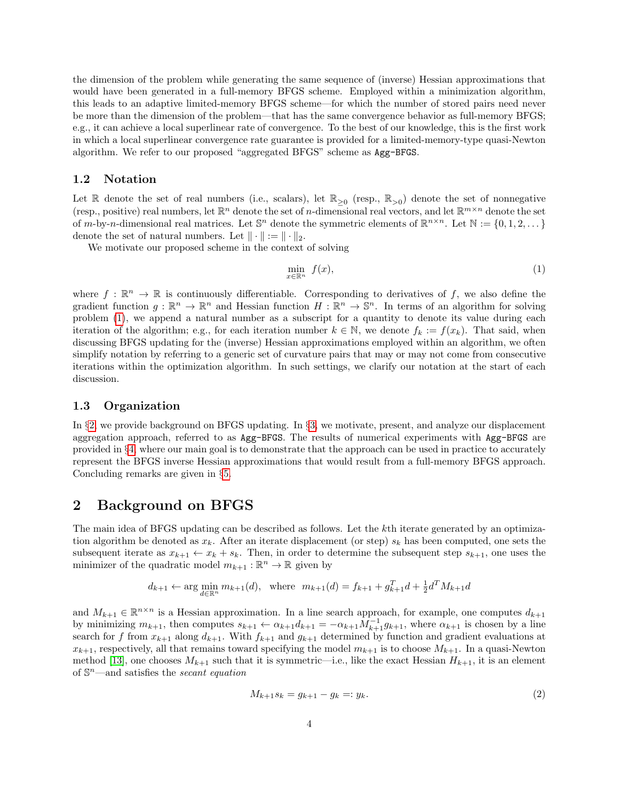the dimension of the problem while generating the same sequence of (inverse) Hessian approximations that would have been generated in a full-memory BFGS scheme. Employed within a minimization algorithm, this leads to an adaptive limited-memory BFGS scheme—for which the number of stored pairs need never be more than the dimension of the problem—that has the same convergence behavior as full-memory BFGS; e.g., it can achieve a local superlinear rate of convergence. To the best of our knowledge, this is the first work in which a local superlinear convergence rate guarantee is provided for a limited-memory-type quasi-Newton algorithm. We refer to our proposed "aggregated BFGS" scheme as Agg-BFGS.

#### 1.2 Notation

Let R denote the set of real numbers (i.e., scalars), let  $\mathbb{R}_{\geq 0}$  (resp.,  $\mathbb{R}_{>0}$ ) denote the set of nonnegative (resp., positive) real numbers, let  $\mathbb{R}^n$  denote the set of *n*-dimensional real vectors, and let  $\mathbb{R}^{m \times n}$  denote the set of m-by-n-dimensional real matrices. Let  $\mathbb{S}^n$  denote the symmetric elements of  $\mathbb{R}^{n \times n}$ . Let  $\mathbb{N} := \{0, 1, 2, \dots\}$ denote the set of natural numbers. Let  $\|\cdot\| := \|\cdot\|_2$ .

We motivate our proposed scheme in the context of solving

<span id="page-3-0"></span>
$$
\min_{x \in \mathbb{R}^n} f(x),\tag{1}
$$

where  $f : \mathbb{R}^n \to \mathbb{R}$  is continuously differentiable. Corresponding to derivatives of f, we also define the gradient function  $g: \mathbb{R}^n \to \mathbb{R}^n$  and Hessian function  $H: \mathbb{R}^n \to \mathbb{S}^n$ . In terms of an algorithm for solving problem [\(1\)](#page-3-0), we append a natural number as a subscript for a quantity to denote its value during each iteration of the algorithm; e.g., for each iteration number  $k \in \mathbb{N}$ , we denote  $f_k := f(x_k)$ . That said, when discussing BFGS updating for the (inverse) Hessian approximations employed within an algorithm, we often simplify notation by referring to a generic set of curvature pairs that may or may not come from consecutive iterations within the optimization algorithm. In such settings, we clarify our notation at the start of each discussion.

## 1.3 Organization

In §[2,](#page-3-1) we provide background on BFGS updating. In §[3,](#page-6-0) we motivate, present, and analyze our displacement aggregation approach, referred to as Agg-BFGS. The results of numerical experiments with Agg-BFGS are provided in §[4,](#page-19-0) where our main goal is to demonstrate that the approach can be used in practice to accurately represent the BFGS inverse Hessian approximations that would result from a full-memory BFGS approach. Concluding remarks are given in §[5.](#page-20-0)

## <span id="page-3-1"></span>2 Background on BFGS

The main idea of BFGS updating can be described as follows. Let the kth iterate generated by an optimization algorithm be denoted as  $x_k$ . After an iterate displacement (or step)  $s_k$  has been computed, one sets the subsequent iterate as  $x_{k+1} \leftarrow x_k + s_k$ . Then, in order to determine the subsequent step  $s_{k+1}$ , one uses the minimizer of the quadratic model  $m_{k+1} : \mathbb{R}^n \to \mathbb{R}$  given by

$$
d_{k+1} \leftarrow \arg\min_{d \in \mathbb{R}^n} m_{k+1}(d)
$$
, where  $m_{k+1}(d) = f_{k+1} + g_{k+1}^T d + \frac{1}{2}d^T M_{k+1} d$ 

and  $M_{k+1} \in \mathbb{R}^{n \times n}$  is a Hessian approximation. In a line search approach, for example, one computes  $d_{k+1}$ by minimizing  $m_{k+1}$ , then computes  $s_{k+1} \leftarrow \alpha_{k+1} d_{k+1} = -\alpha_{k+1} M_{k+1}^{-1} g_{k+1}$ , where  $\alpha_{k+1}$  is chosen by a line search for f from  $x_{k+1}$  along  $d_{k+1}$ . With  $f_{k+1}$  and  $g_{k+1}$  determined by function and gradient evaluations at  $x_{k+1}$ , respectively, all that remains toward specifying the model  $m_{k+1}$  is to choose  $M_{k+1}$ . In a quasi-Newton method [\[13\]](#page-22-0), one chooses  $M_{k+1}$  such that it is symmetric—i.e., like the exact Hessian  $H_{k+1}$ , it is an element of  $\mathbb{S}^n$ —and satisfies the *secant equation* 

$$
M_{k+1}s_k = g_{k+1} - g_k =: y_k. \tag{2}
$$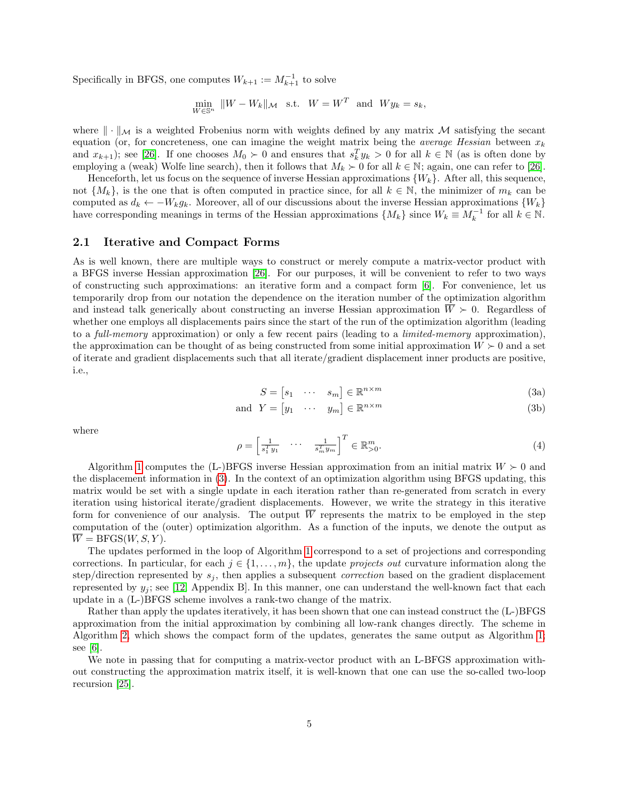Specifically in BFGS, one computes  $W_{k+1} := M_{k+1}^{-1}$  to solve

 $\min_{W \in \mathbb{S}^n} \|W - W_k\|_{\mathcal{M}} \text{ s.t. } W = W^T \text{ and } W y_k = s_k,$ 

where  $\|\cdot\|_{\mathcal{M}}$  is a weighted Frobenius norm with weights defined by any matrix M satisfying the secant equation (or, for concreteness, one can imagine the weight matrix being the *average Hessian* between  $x_k$ and  $x_{k+1}$ ; see [\[26\]](#page-23-0). If one chooses  $M_0 \succ 0$  and ensures that  $s_k^T y_k > 0$  for all  $k \in \mathbb{N}$  (as is often done by employing a (weak) Wolfe line search), then it follows that  $M_k \succ 0$  for all  $k \in \mathbb{N}$ ; again, one can refer to [\[26\]](#page-23-0).

Henceforth, let us focus on the sequence of inverse Hessian approximations  $\{W_k\}$ . After all, this sequence, not  $\{M_k\}$ , is the one that is often computed in practice since, for all  $k \in \mathbb{N}$ , the minimizer of  $m_k$  can be computed as  $d_k \leftarrow -W_k g_k$ . Moreover, all of our discussions about the inverse Hessian approximations  $\{W_k\}$ have corresponding meanings in terms of the Hessian approximations  $\{M_k\}$  since  $W_k \equiv M_k^{-1}$  for all  $k \in \mathbb{N}$ .

#### 2.1 Iterative and Compact Forms

As is well known, there are multiple ways to construct or merely compute a matrix-vector product with a BFGS inverse Hessian approximation [\[26\]](#page-23-0). For our purposes, it will be convenient to refer to two ways of constructing such approximations: an iterative form and a compact form [\[6\]](#page-21-5). For convenience, let us temporarily drop from our notation the dependence on the iteration number of the optimization algorithm and instead talk generically about constructing an inverse Hessian approximation  $\overline{W} \succ 0$ . Regardless of whether one employs all displacements pairs since the start of the run of the optimization algorithm (leading to a full-memory approximation) or only a few recent pairs (leading to a *limited-memory* approximation), the approximation can be thought of as being constructed from some initial approximation  $W \succ 0$  and a set of iterate and gradient displacements such that all iterate/gradient displacement inner products are positive, i.e.,

$$
S = \begin{bmatrix} s_1 & \cdots & s_m \end{bmatrix} \in \mathbb{R}^{n \times m} \tag{3a}
$$

$$
and Y = \begin{bmatrix} y_1 & \cdots & y_m \end{bmatrix} \in \mathbb{R}^{n \times m} \tag{3b}
$$

<span id="page-4-0"></span>where

<span id="page-4-1"></span>
$$
\rho = \begin{bmatrix} \frac{1}{s_1^T y_1} & \cdots & \frac{1}{s_m^T y_m} \end{bmatrix}^T \in \mathbb{R}_{>0}^m.
$$
\n(4)

Algorithm [1](#page-5-0) computes the  $(L-)BFGS$  inverse Hessian approximation from an initial matrix  $W \succ 0$  and the displacement information in [\(3\)](#page-4-0). In the context of an optimization algorithm using BFGS updating, this matrix would be set with a single update in each iteration rather than re-generated from scratch in every iteration using historical iterate/gradient displacements. However, we write the strategy in this iterative form for convenience of our analysis. The output  $\overline{W}$  represents the matrix to be employed in the step computation of the (outer) optimization algorithm. As a function of the inputs, we denote the output as  $\overline{W} = BFGS(W, S, Y).$ 

The updates performed in the loop of Algorithm [1](#page-5-0) correspond to a set of projections and corresponding corrections. In particular, for each  $j \in \{1, \ldots, m\}$ , the update *projects out* curvature information along the step/direction represented by  $s_j$ , then applies a subsequent *correction* based on the gradient displacement represented by  $y_i$ ; see [\[12,](#page-22-17) Appendix B]. In this manner, one can understand the well-known fact that each update in a (L-)BFGS scheme involves a rank-two change of the matrix.

Rather than apply the updates iteratively, it has been shown that one can instead construct the (L-)BFGS approximation from the initial approximation by combining all low-rank changes directly. The scheme in Algorithm [2,](#page-5-1) which shows the compact form of the updates, generates the same output as Algorithm [1;](#page-5-0) see [\[6\]](#page-21-5).

We note in passing that for computing a matrix-vector product with an L-BFGS approximation without constructing the approximation matrix itself, it is well-known that one can use the so-called two-loop recursion [\[25\]](#page-22-16).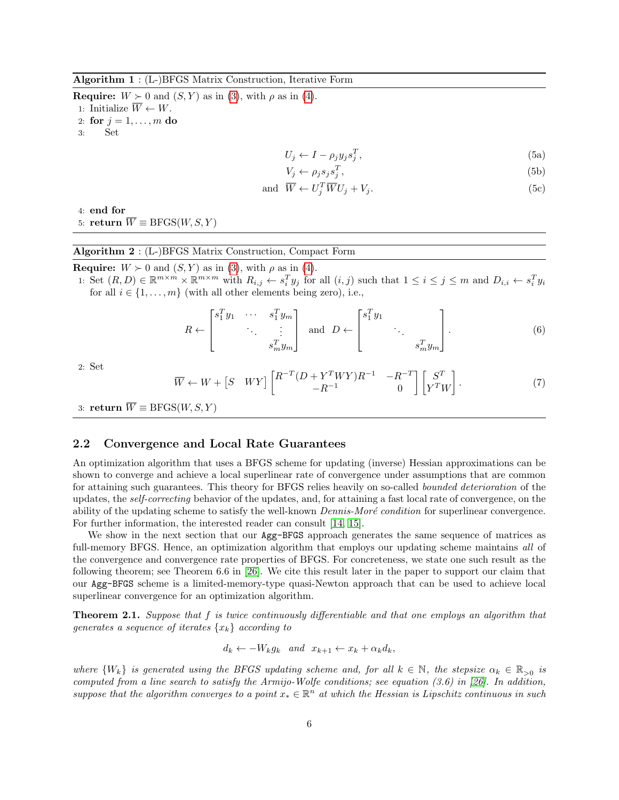<span id="page-5-0"></span>Algorithm 1 : (L-)BFGS Matrix Construction, Iterative Form

<span id="page-5-2"></span>**Require:**  $W \succ 0$  and  $(S, Y)$  as in [\(3\)](#page-4-0), with  $\rho$  as in [\(4\)](#page-4-1). 1: Initialize  $\overline{W} \leftarrow W$ . 2: for  $j = 1, \ldots, m$  do 3: Set

$$
U_j \leftarrow I - \rho_j y_j s_j^T,\tag{5a}
$$

$$
V_j \leftarrow \rho_j s_j s_j^T,\tag{5b}
$$

$$
\text{and } \overline{W} \leftarrow U_j^T \overline{W} U_j + V_j. \tag{5c}
$$

4: end for

5: return  $\overline{W} \equiv \text{BFGS}(W, S, Y)$ 

#### <span id="page-5-1"></span>Algorithm 2 : (L-)BFGS Matrix Construction, Compact Form

**Require:**  $W \succ 0$  and  $(S, Y)$  as in [\(3\)](#page-4-0), with  $\rho$  as in [\(4\)](#page-4-1).

1: Set  $(R, D) \in \mathbb{R}^{m \times m} \times \mathbb{R}^{m \times m}$  with  $R_{i,j} \leftarrow s_i^T y_j$  for all  $(i,j)$  such that  $1 \leq i \leq j \leq m$  and  $D_{i,i} \leftarrow s_i^T y_i$ for all  $i \in \{1, \ldots, m\}$  (with all other elements being zero), i.e.,

$$
R \leftarrow \begin{bmatrix} s_1^T y_1 & \cdots & s_1^T y_m \\ & \ddots & \vdots \\ & & s_m^T y_m \end{bmatrix} \text{ and } D \leftarrow \begin{bmatrix} s_1^T y_1 & & \\ & \ddots & \\ & & s_m^T y_m \end{bmatrix} . \tag{6}
$$

2: Set

<span id="page-5-3"></span>
$$
\overline{W} \leftarrow W + \begin{bmatrix} S & WY \end{bmatrix} \begin{bmatrix} R^{-T} (D + Y^T W Y) R^{-1} & -R^{-T} \\ -R^{-1} & 0 \end{bmatrix} \begin{bmatrix} S^T \\ Y^T W \end{bmatrix}.
$$
 (7)

3: return  $\overline{W} \equiv \text{BFGS}(W, S, Y)$ 

## 2.2 Convergence and Local Rate Guarantees

An optimization algorithm that uses a BFGS scheme for updating (inverse) Hessian approximations can be shown to converge and achieve a local superlinear rate of convergence under assumptions that are common for attaining such guarantees. This theory for BFGS relies heavily on so-called bounded deterioration of the updates, the self-correcting behavior of the updates, and, for attaining a fast local rate of convergence, on the ability of the updating scheme to satisfy the well-known *Dennis-Moré condition* for superlinear convergence. For further information, the interested reader can consult [\[14,](#page-22-2) [15\]](#page-22-3).

We show in the next section that our  $Agg-BFGS$  approach generates the same sequence of matrices as full-memory BFGS. Hence, an optimization algorithm that employs our updating scheme maintains all of the convergence and convergence rate properties of BFGS. For concreteness, we state one such result as the following theorem; see Theorem 6.6 in [\[26\]](#page-23-0). We cite this result later in the paper to support our claim that our Agg-BFGS scheme is a limited-memory-type quasi-Newton approach that can be used to achieve local superlinear convergence for an optimization algorithm.

<span id="page-5-4"></span>**Theorem 2.1.** Suppose that f is twice continuously differentiable and that one employs an algorithm that generates a sequence of iterates  $\{x_k\}$  according to

$$
d_k \leftarrow -W_k g_k \quad and \quad x_{k+1} \leftarrow x_k + \alpha_k d_k,
$$

where  $\{W_k\}$  is generated using the BFGS updating scheme and, for all  $k \in \mathbb{N}$ , the stepsize  $\alpha_k \in \mathbb{R}_{>0}$  is computed from a line search to satisfy the Armijo-Wolfe conditions; see equation (3.6) in [\[26\]](#page-23-0). In addition, suppose that the algorithm converges to a point  $x_* \in \mathbb{R}^n$  at which the Hessian is Lipschitz continuous in such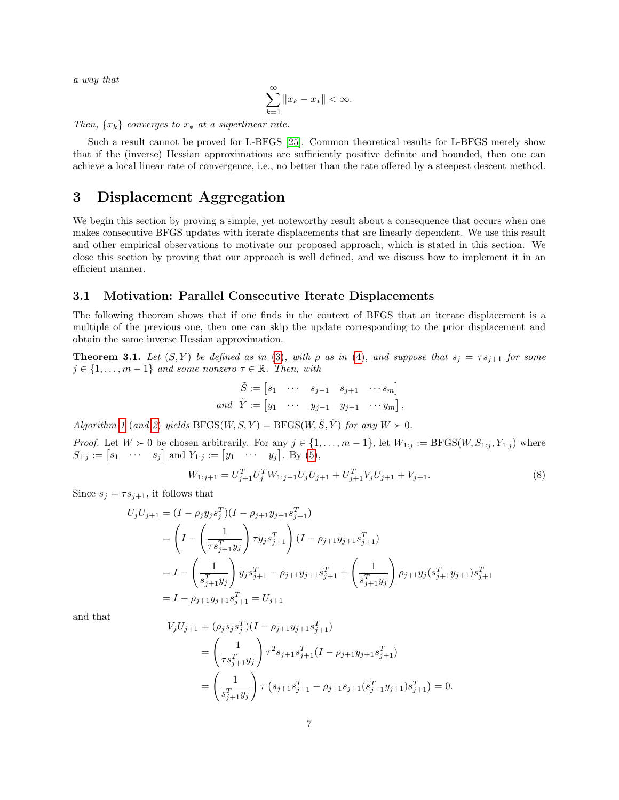a way that

$$
\sum_{k=1}^{\infty} \|x_k - x_*\| < \infty.
$$

Then,  $\{x_k\}$  converges to  $x_*$  at a superlinear rate.

Such a result cannot be proved for L-BFGS [\[25\]](#page-22-16). Common theoretical results for L-BFGS merely show that if the (inverse) Hessian approximations are sufficiently positive definite and bounded, then one can achieve a local linear rate of convergence, i.e., no better than the rate offered by a steepest descent method.

## <span id="page-6-0"></span>3 Displacement Aggregation

We begin this section by proving a simple, yet noteworthy result about a consequence that occurs when one makes consecutive BFGS updates with iterate displacements that are linearly dependent. We use this result and other empirical observations to motivate our proposed approach, which is stated in this section. We close this section by proving that our approach is well defined, and we discuss how to implement it in an efficient manner.

#### 3.1 Motivation: Parallel Consecutive Iterate Displacements

The following theorem shows that if one finds in the context of BFGS that an iterate displacement is a multiple of the previous one, then one can skip the update corresponding to the prior displacement and obtain the same inverse Hessian approximation.

<span id="page-6-2"></span>**Theorem 3.1.** Let  $(S, Y)$  be defined as in [\(3\)](#page-4-0), with  $\rho$  as in [\(4\)](#page-4-1), and suppose that  $s_j = \tau s_{j+1}$  for some  $j \in \{1, \ldots, m-1\}$  and some nonzero  $\tau \in \mathbb{R}$ . Then, with

$$
\tilde{S} := \begin{bmatrix} s_1 & \cdots & s_{j-1} & s_{j+1} & \cdots & s_m \end{bmatrix}
$$
\n
$$
and \ \ \tilde{Y} := \begin{bmatrix} y_1 & \cdots & y_{j-1} & y_{j+1} & \cdots & y_m \end{bmatrix},
$$

Algorithm [1](#page-5-0) (and [2](#page-5-1)) yields  $BFGS(W, S, Y) = BFGS(W, \tilde{S}, \tilde{Y})$  for any  $W \succ 0$ .

*Proof.* Let  $W \succ 0$  be chosen arbitrarily. For any  $j \in \{1, \ldots, m-1\}$ , let  $W_{1:j} := \text{BFGS}(W, S_{1:j}, Y_{1:j})$  where  $S_{1:j} := [s_1 \cdots s_j]$  and  $Y_{1:j} := [y_1 \cdots y_j]$ . By [\(5\)](#page-5-2),

<span id="page-6-1"></span>
$$
W_{1:j+1} = U_{j+1}^T U_j^T W_{1:j-1} U_j U_{j+1} + U_{j+1}^T V_j U_{j+1} + V_{j+1}.
$$
\n(8)

Since  $s_j = \tau s_{j+1}$ , it follows that

$$
U_j U_{j+1} = (I - \rho_j y_j s_j^T)(I - \rho_{j+1} y_{j+1} s_{j+1}^T)
$$
  
= 
$$
\left(I - \left(\frac{1}{\tau s_{j+1}^T y_j}\right) \tau y_j s_{j+1}^T\right) (I - \rho_{j+1} y_{j+1} s_{j+1}^T)
$$
  
= 
$$
I - \left(\frac{1}{s_{j+1}^T y_j}\right) y_j s_{j+1}^T - \rho_{j+1} y_{j+1} s_{j+1}^T + \left(\frac{1}{s_{j+1}^T y_j}\right) \rho_{j+1} y_j (s_{j+1}^T y_{j+1}) s_{j+1}^T
$$
  
= 
$$
I - \rho_{j+1} y_{j+1} s_{j+1}^T = U_{j+1}
$$

and that

$$
V_j U_{j+1} = (\rho_j s_j s_j^T)(I - \rho_{j+1} y_{j+1} s_{j+1}^T)
$$
  
= 
$$
\left(\frac{1}{\tau s_{j+1}^T y_j}\right) \tau^2 s_{j+1} s_{j+1}^T (I - \rho_{j+1} y_{j+1} s_{j+1}^T)
$$
  
= 
$$
\left(\frac{1}{s_{j+1}^T y_j}\right) \tau \left(s_{j+1} s_{j+1}^T - \rho_{j+1} s_{j+1} (s_{j+1}^T y_{j+1}) s_{j+1}^T\right) = 0.
$$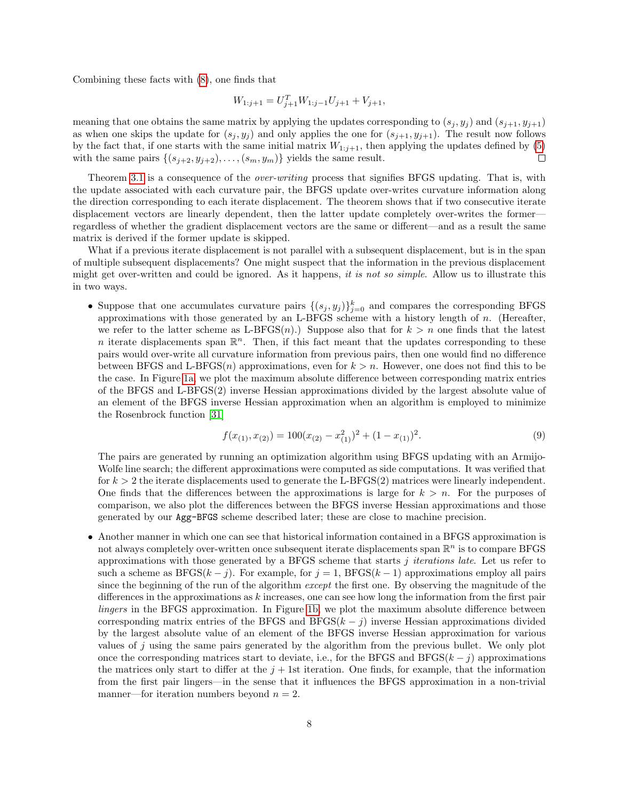Combining these facts with [\(8\)](#page-6-1), one finds that

$$
W_{1:j+1} = U_{j+1}^T W_{1:j-1} U_{j+1} + V_{j+1},
$$

meaning that one obtains the same matrix by applying the updates corresponding to  $(s_j, y_j)$  and  $(s_{j+1}, y_{j+1})$ as when one skips the update for  $(s_j, y_j)$  and only applies the one for  $(s_{j+1}, y_{j+1})$ . The result now follows by the fact that, if one starts with the same initial matrix  $W_{1:j+1}$ , then applying the updates defined by [\(5\)](#page-5-2) with the same pairs  $\{(s_{j+2}, y_{j+2}), \ldots, (s_m, y_m)\}\$  yields the same result.  $\Box$ 

Theorem [3.1](#page-6-2) is a consequence of the *over-writing* process that signifies BFGS updating. That is, with the update associated with each curvature pair, the BFGS update over-writes curvature information along the direction corresponding to each iterate displacement. The theorem shows that if two consecutive iterate displacement vectors are linearly dependent, then the latter update completely over-writes the former regardless of whether the gradient displacement vectors are the same or different—and as a result the same matrix is derived if the former update is skipped.

What if a previous iterate displacement is not parallel with a subsequent displacement, but is in the span of multiple subsequent displacements? One might suspect that the information in the previous displacement might get over-written and could be ignored. As it happens, it is not so simple. Allow us to illustrate this in two ways.

• Suppose that one accumulates curvature pairs  $\{(s_j, y_j)\}_{j=0}^k$  and compares the corresponding BFGS approximations with those generated by an L-BFGS scheme with a history length of  $n$ . (Hereafter, we refer to the latter scheme as L-BFGS $(n)$ .) Suppose also that for  $k > n$  one finds that the latest n iterate displacements span  $\mathbb{R}^n$ . Then, if this fact meant that the updates corresponding to these pairs would over-write all curvature information from previous pairs, then one would find no difference between BFGS and L-BFGS(n) approximations, even for  $k > n$ . However, one does not find this to be the case. In Figure [1a,](#page-8-0) we plot the maximum absolute difference between corresponding matrix entries of the BFGS and L-BFGS(2) inverse Hessian approximations divided by the largest absolute value of an element of the BFGS inverse Hessian approximation when an algorithm is employed to minimize the Rosenbrock function [\[31\]](#page-23-9)

$$
f(x_{(1)}, x_{(2)}) = 100(x_{(2)} - x_{(1)}^2)^2 + (1 - x_{(1)})^2.
$$
\n(9)

The pairs are generated by running an optimization algorithm using BFGS updating with an Armijo-Wolfe line search; the different approximations were computed as side computations. It was verified that for  $k > 2$  the iterate displacements used to generate the L-BFGS(2) matrices were linearly independent. One finds that the differences between the approximations is large for  $k > n$ . For the purposes of comparison, we also plot the differences between the BFGS inverse Hessian approximations and those generated by our Agg-BFGS scheme described later; these are close to machine precision.

• Another manner in which one can see that historical information contained in a BFGS approximation is not always completely over-written once subsequent iterate displacements span  $\mathbb{R}^n$  is to compare BFGS approximations with those generated by a BFGS scheme that starts  $j$  *iterations late*. Let us refer to such a scheme as  $BFGS(k - j)$ . For example, for  $j = 1$ ,  $BFGS(k - 1)$  approximations employ all pairs since the beginning of the run of the algorithm except the first one. By observing the magnitude of the differences in the approximations as  $k$  increases, one can see how long the information from the first pair lingers in the BFGS approximation. In Figure [1b,](#page-8-0) we plot the maximum absolute difference between corresponding matrix entries of the BFGS and BFGS $(k - j)$  inverse Hessian approximations divided by the largest absolute value of an element of the BFGS inverse Hessian approximation for various values of  $j$  using the same pairs generated by the algorithm from the previous bullet. We only plot once the corresponding matrices start to deviate, i.e., for the BFGS and BFGS $(k - j)$  approximations the matrices only start to differ at the  $j + 1$ st iteration. One finds, for example, that the information from the first pair lingers—in the sense that it influences the BFGS approximation in a non-trivial manner—for iteration numbers beyond  $n = 2$ .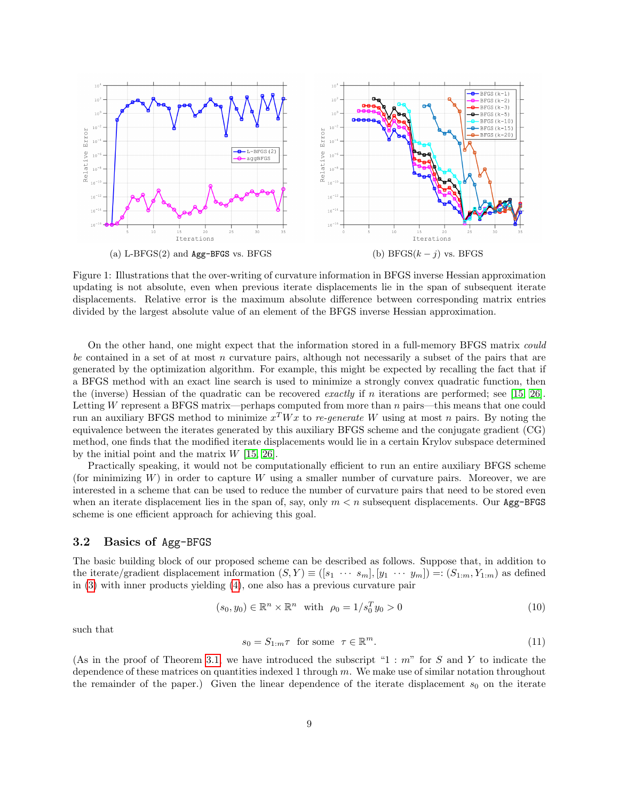<span id="page-8-0"></span>

Figure 1: Illustrations that the over-writing of curvature information in BFGS inverse Hessian approximation updating is not absolute, even when previous iterate displacements lie in the span of subsequent iterate displacements. Relative error is the maximum absolute difference between corresponding matrix entries divided by the largest absolute value of an element of the BFGS inverse Hessian approximation.

On the other hand, one might expect that the information stored in a full-memory BFGS matrix could be contained in a set of at most n curvature pairs, although not necessarily a subset of the pairs that are generated by the optimization algorithm. For example, this might be expected by recalling the fact that if a BFGS method with an exact line search is used to minimize a strongly convex quadratic function, then the (inverse) Hessian of the quadratic can be recovered *exactly* if n iterations are performed; see [\[15,](#page-22-3) [26\]](#page-23-0). Letting W represent a BFGS matrix—perhaps computed from more than n pairs—this means that one could run an auxiliary BFGS method to minimize  $x^T W x$  to re-generate W using at most n pairs. By noting the equivalence between the iterates generated by this auxiliary BFGS scheme and the conjugate gradient (CG) method, one finds that the modified iterate displacements would lie in a certain Krylov subspace determined by the initial point and the matrix  $W$  [\[15,](#page-22-3) [26\]](#page-23-0).

Practically speaking, it would not be computationally efficient to run an entire auxiliary BFGS scheme (for minimizing  $W$ ) in order to capture  $W$  using a smaller number of curvature pairs. Moreover, we are interested in a scheme that can be used to reduce the number of curvature pairs that need to be stored even when an iterate displacement lies in the span of, say, only  $m < n$  subsequent displacements. Our Agg-BFGS scheme is one efficient approach for achieving this goal.

## <span id="page-8-3"></span>3.2 Basics of Agg-BFGS

The basic building block of our proposed scheme can be described as follows. Suppose that, in addition to the iterate/gradient displacement information  $(S, Y) \equiv ([s_1 \cdots s_m], [y_1 \cdots y_m]) =: (S_{1:m}, Y_{1:m})$  as defined in [\(3\)](#page-4-0) with inner products yielding [\(4\)](#page-4-1), one also has a previous curvature pair

<span id="page-8-1"></span>
$$
(s_0, y_0) \in \mathbb{R}^n \times \mathbb{R}^n \quad \text{with} \quad \rho_0 = 1/s_0^T y_0 > 0 \tag{10}
$$

such that

<span id="page-8-2"></span>
$$
s_0 = S_{1:m}\tau \text{ for some } \tau \in \mathbb{R}^m. \tag{11}
$$

(As in the proof of Theorem [3.1,](#page-6-2) we have introduced the subscript "1 :  $m$ " for S and Y to indicate the dependence of these matrices on quantities indexed 1 through  $m$ . We make use of similar notation throughout the remainder of the paper.) Given the linear dependence of the iterate displacement  $s_0$  on the iterate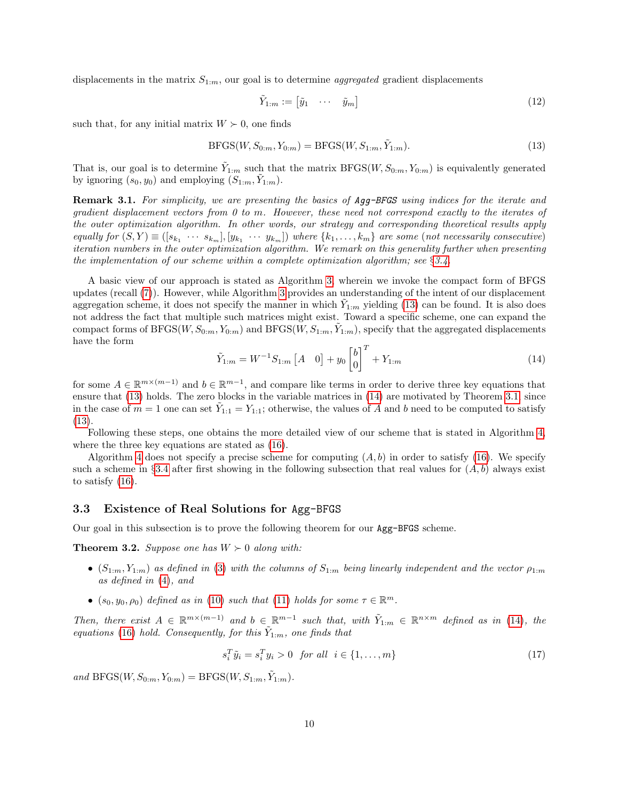displacements in the matrix  $S_{1:m}$ , our goal is to determine *aggregated* gradient displacements

<span id="page-9-2"></span>
$$
\tilde{Y}_{1:m} := \begin{bmatrix} \tilde{y}_1 & \cdots & \tilde{y}_m \end{bmatrix} \tag{12}
$$

such that, for any initial matrix  $W \succ 0$ , one finds

<span id="page-9-0"></span>
$$
BFGS(W, S_{0:m}, Y_{0:m}) = BFGS(W, S_{1:m}, \tilde{Y}_{1:m}).
$$
\n(13)

That is, our goal is to determine  $\tilde{Y}_{1:m}$  such that the matrix  $BFGS(W, S_{0:m}, Y_{0:m})$  is equivalently generated by ignoring  $(s_0, y_0)$  and employing  $(S_{1:m}, \tilde{Y}_{1:m})$ .

Remark 3.1. For simplicity, we are presenting the basics of Agg-BFGS using indices for the iterate and gradient displacement vectors from 0 to m. However, these need not correspond exactly to the iterates of the outer optimization algorithm. In other words, our strategy and corresponding theoretical results apply equally for  $(S, Y) \equiv ([s_{k_1} \cdots s_{k_m}], [y_{k_1} \cdots y_{k_m}])$  where  $\{k_1, \ldots, k_m\}$  are some (not necessarily consecutive) iteration numbers in the outer optimization algorithm. We remark on this generality further when presenting the implementation of our scheme within a complete optimization algorithm; see  $\S 3.4$ .

A basic view of our approach is stated as Algorithm [3,](#page-10-0) wherein we invoke the compact form of BFGS updates (recall [\(7\)](#page-5-3)). However, while Algorithm [3](#page-10-0) provides an understanding of the intent of our displacement aggregation scheme, it does not specify the manner in which  $\tilde{Y}_{1:m}$  yielding [\(13\)](#page-9-0) can be found. It is also does not address the fact that multiple such matrices might exist. Toward a specific scheme, one can expand the compact forms of BFGS( $W, S_{0:m}, Y_{0:m}$ ) and BFGS( $W, S_{1:m}, \tilde{Y}_{1:m}$ ), specify that the aggregated displacements have the form

<span id="page-9-1"></span>
$$
\tilde{Y}_{1:m} = W^{-1} S_{1:m} \begin{bmatrix} A & 0 \end{bmatrix} + y_0 \begin{bmatrix} b \\ 0 \end{bmatrix}^T + Y_{1:m} \tag{14}
$$

for some  $A \in \mathbb{R}^{m \times (m-1)}$  and  $b \in \mathbb{R}^{m-1}$ , and compare like terms in order to derive three key equations that ensure that [\(13\)](#page-9-0) holds. The zero blocks in the variable matrices in [\(14\)](#page-9-1) are motivated by Theorem [3.1,](#page-6-2) since in the case of  $m = 1$  one can set  $\tilde{Y}_{1:1} = Y_{1:1}$ ; otherwise, the values of A and b need to be computed to satisfy [\(13\)](#page-9-0).

Following these steps, one obtains the more detailed view of our scheme that is stated in Algorithm [4,](#page-11-0) where the three key equations are stated as [\(16\)](#page-11-1).

Algorithm [4](#page-11-0) does not specify a precise scheme for computing  $(A, b)$  in order to satisfy [\(16\)](#page-11-1). We specify such a scheme in §[3.4](#page-15-0) after first showing in the following subsection that real values for  $(A, b)$  always exist to satisfy [\(16\)](#page-11-1).

#### <span id="page-9-5"></span>3.3 Existence of Real Solutions for Agg-BFGS

<span id="page-9-4"></span>Our goal in this subsection is to prove the following theorem for our Agg-BFGS scheme.

**Theorem 3.2.** Suppose one has  $W \succ 0$  along with:

- $(S_{1:m}, Y_{1:m})$  as defined in [\(3\)](#page-4-0) with the columns of  $S_{1:m}$  being linearly independent and the vector  $\rho_{1:m}$ as defined in [\(4\)](#page-4-1), and
- $(s_0, y_0, \rho_0)$  defined as in [\(10\)](#page-8-1) such that [\(11\)](#page-8-2) holds for some  $\tau \in \mathbb{R}^m$ .

Then, there exist  $A \in \mathbb{R}^{m \times (m-1)}$  and  $b \in \mathbb{R}^{m-1}$  such that, with  $\tilde{Y}_{1:m} \in \mathbb{R}^{n \times m}$  defined as in [\(14\)](#page-9-1), the equations [\(16\)](#page-11-1) hold. Consequently, for this  $\tilde{Y}_{1:m}$ , one finds that

<span id="page-9-3"></span>
$$
s_i^T \tilde{y}_i = s_i^T y_i > 0 \quad \text{for all} \quad i \in \{1, \dots, m\} \tag{17}
$$

and  $BFGS(W, S_{0:m}, Y_{0:m}) = BFGS(W, S_{1:m}, \tilde{Y}_{1:m}).$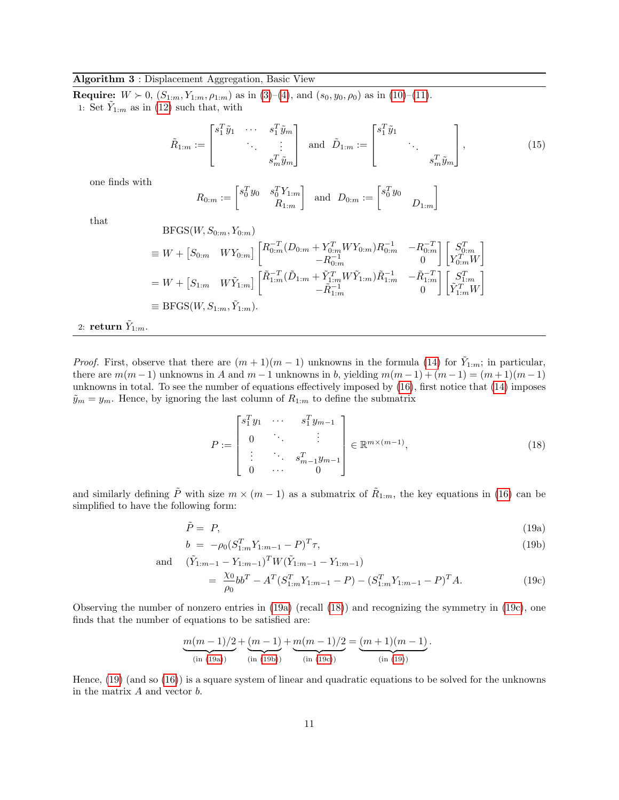#### <span id="page-10-0"></span>Algorithm 3 : Displacement Aggregation, Basic View

**Require:**  $W > 0$ ,  $(S_{1:m}, Y_{1:m}, \rho_{1:m})$  as in [\(3\)](#page-4-0)–[\(4\)](#page-4-1), and  $(s_0, y_0, \rho_0)$  as in [\(10\)](#page-8-1)–[\(11\)](#page-8-2). 1: Set  $\tilde{Y}_{1:m}$  as in [\(12\)](#page-9-2) such that, with

$$
\tilde{R}_{1:m} := \begin{bmatrix} s_1^T \tilde{y}_1 & \cdots & s_1^T \tilde{y}_m \\ & \ddots & \vdots \\ & & s_m^T \tilde{y}_m \end{bmatrix} \text{ and } \tilde{D}_{1:m} := \begin{bmatrix} s_1^T \tilde{y}_1 & & \\ & \ddots & \\ & & s_m^T \tilde{y}_m \end{bmatrix},
$$
\n(15)

one finds with

$$
R_{0:m} := \begin{bmatrix} s_0^T y_0 & s_0^T Y_{1:m} \\ & R_{1:m} \end{bmatrix} \text{ and } D_{0:m} := \begin{bmatrix} s_0^T y_0 & \\ & D_{1:m} \end{bmatrix}
$$

that

BFGS(*W*, 
$$
S_{0:m}
$$
,  $Y_{0:m}$ )  
\n
$$
\equiv W + [S_{0:m} \quad WY_{0:m}] \begin{bmatrix} R_{0:m}^{-T} (D_{0:m} + Y_{0:m}^T W Y_{0:m}) R_{0:m}^{-1} & -R_{0:m}^{-T} \\ -R_{0:m}^{-1} & 0 \end{bmatrix} \begin{bmatrix} S_{0:m}^T \\ Y_{0:m}^T W \end{bmatrix}
$$
\n
$$
= W + [S_{1:m} \quad W\tilde{Y}_{1:m}] \begin{bmatrix} \tilde{R}_{1:m}^{-T} (\tilde{D}_{1:m} + \tilde{Y}_{1:m}^T W \tilde{Y}_{1:m}) \tilde{R}_{1:m}^{-1} & -\tilde{R}_{1:m}^{-T} \\ -\tilde{R}_{1:m}^{-1} & 0 \end{bmatrix} \begin{bmatrix} S_{1:m}^T \\ \tilde{Y}_{1:m}^T W \end{bmatrix}
$$
\n
$$
\equiv \text{BFGS}(W, S_{1:m}, \tilde{Y}_{1:m}).
$$

 $_{2:}$  return  $\tilde{Y}_{1:m}.$ 

*Proof.* First, observe that there are  $(m+1)(m-1)$  unknowns in the formula [\(14\)](#page-9-1) for  $\tilde{Y}_{1:m}$ ; in particular, there are  $m(m-1)$  unknowns in A and  $m-1$  unknowns in b, yielding  $m(m-1) + (m-1) = (m+1)(m-1)$ unknowns in total. To see the number of equations effectively imposed by [\(16\)](#page-11-1), first notice that [\(14\)](#page-9-1) imposes  $\tilde{y}_m = y_m$ . Hence, by ignoring the last column of  $R_{1:m}$  to define the submatrix

<span id="page-10-4"></span><span id="page-10-2"></span><span id="page-10-1"></span>
$$
P := \begin{bmatrix} s_1^T y_1 & \cdots & s_1^T y_{m-1} \\ 0 & \ddots & \vdots \\ \vdots & \ddots & s_{m-1}^T y_{m-1} \\ 0 & \cdots & 0 \end{bmatrix} \in \mathbb{R}^{m \times (m-1)},
$$
 (18)

and similarly defining  $\tilde{P}$  with size  $m \times (m-1)$  as a submatrix of  $\tilde{R}_{1:m}$ , the key equations in [\(16\)](#page-11-1) can be simplified to have the following form:

<span id="page-10-5"></span>
$$
\tilde{P} = P,\tag{19a}
$$

<span id="page-10-3"></span>
$$
b = -\rho_0 (S_{1:m}^T Y_{1:m-1} - P)^T \tau,
$$
\n(19b)

and 
$$
(\tilde{Y}_{1:m-1} - Y_{1:m-1})^T W (\tilde{Y}_{1:m-1} - Y_{1:m-1})
$$
  
= 
$$
\frac{\chi_0}{\rho_0} b b^T - A^T (S_{1:m}^T Y_{1:m-1} - P) - (S_{1:m}^T Y_{1:m-1} - P)^T A.
$$
 (19c)

Observing the number of nonzero entries in [\(19a\)](#page-10-1) (recall [\(18\)](#page-10-2)) and recognizing the symmetry in [\(19c\)](#page-10-3), one finds that the number of equations to be satisfied are:

$$
\underbrace{m(m-1)/2}_{\text{(in (19a))}} + \underbrace{(m-1)}_{\text{(in (19b))}} + \underbrace{m(m-1)/2}_{\text{(in (19c))}} = \underbrace{(m+1)(m-1)}_{\text{(in (19))}}.
$$

Hence, [\(19\)](#page-10-5) (and so [\(16\)](#page-11-1)) is a square system of linear and quadratic equations to be solved for the unknowns in the matrix  $A$  and vector  $b$ .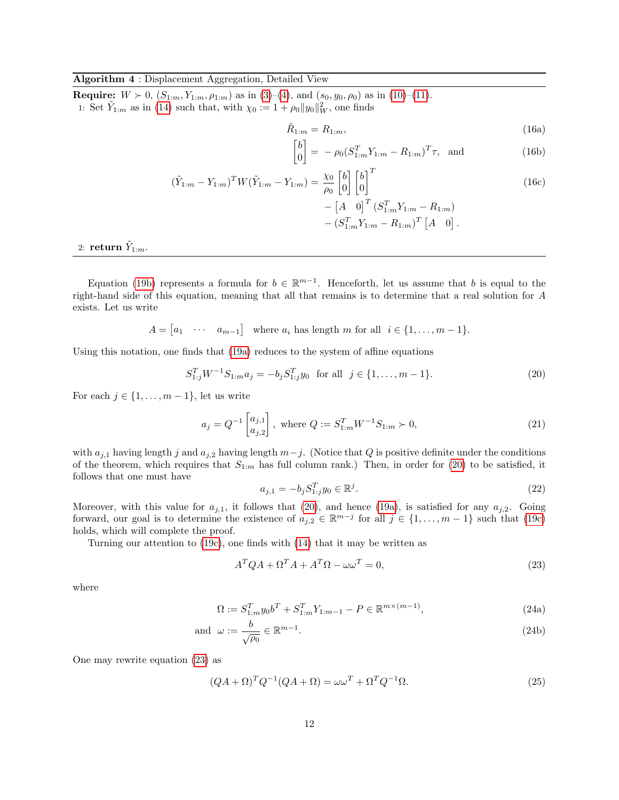#### <span id="page-11-0"></span>Algorithm 4 : Displacement Aggregation, Detailed View

**Require:**  $W > 0$ ,  $(S_{1:m}, Y_{1:m}, \rho_{1:m})$  as in [\(3\)](#page-4-0)–[\(4\)](#page-4-1), and  $(s_0, y_0, \rho_0)$  as in [\(10\)](#page-8-1)–[\(11\)](#page-8-2). 1: Set  $\tilde{Y}_{1:m}$  as in [\(14\)](#page-9-1) such that, with  $\chi_0 := 1 + \rho_0 ||y_0||_W^2$ , one finds

<span id="page-11-1"></span>
$$
\tilde{R}_{1:m} = R_{1:m},\tag{16a}
$$

$$
\begin{bmatrix} b \\ 0 \end{bmatrix} = -\rho_0 (S_{1:m}^T Y_{1:m} - R_{1:m})^T \tau, \text{ and } (16b)
$$

$$
(\tilde{Y}_{1:m} - Y_{1:m})^T W (\tilde{Y}_{1:m} - Y_{1:m}) = \frac{\chi_0}{\rho_0} \begin{bmatrix} b \\ 0 \end{bmatrix}^T \begin{bmatrix} b \\ 0 \end{bmatrix}^T
$$
  
-  $\begin{bmatrix} A & 0 \end{bmatrix}^T (S_{1:m}^T Y_{1:m} - R_{1:m})$   
-  $(S_{1:m}^T Y_{1:m} - R_{1:m})^T \begin{bmatrix} A & 0 \end{bmatrix}.$  (16c)

 $_{2:}$  return  $\tilde{Y}_{1:m}.$ 

Equation [\(19b\)](#page-10-4) represents a formula for  $b \in \mathbb{R}^{m-1}$ . Henceforth, let us assume that b is equal to the right-hand side of this equation, meaning that all that remains is to determine that a real solution for A exists. Let us write

$$
A = [a_1 \cdots a_{m-1}] \text{ where } a_i \text{ has length } m \text{ for all } i \in \{1, \ldots, m-1\}.
$$

Using this notation, one finds that [\(19a\)](#page-10-1) reduces to the system of affine equations

<span id="page-11-2"></span>
$$
S_{1:j}^T W^{-1} S_{1:m} a_j = -b_j S_{1:j}^T y_0 \text{ for all } j \in \{1, ..., m-1\}.
$$
 (20)

For each  $j \in \{1, \ldots, m-1\}$ , let us write

<span id="page-11-5"></span>
$$
a_j = Q^{-1} \begin{bmatrix} a_{j,1} \\ a_{j,2} \end{bmatrix}, \text{ where } Q := S_{1:m}^T W^{-1} S_{1:m} \succ 0,
$$
\n
$$
(21)
$$

with  $a_{j,1}$  having length j and  $a_{j,2}$  having length  $m-j$ . (Notice that Q is positive definite under the conditions of the theorem, which requires that  $S_{1:m}$  has full column rank.) Then, in order for [\(20\)](#page-11-2) to be satisfied, it follows that one must have

<span id="page-11-7"></span>
$$
a_{j,1} = -b_j S_{1:j}^T y_0 \in \mathbb{R}^j. \tag{22}
$$

Moreover, with this value for  $a_{j,1}$ , it follows that [\(20\)](#page-11-2), and hence [\(19a\)](#page-10-1), is satisfied for any  $a_{j,2}$ . Going forward, our goal is to determine the existence of  $a_{j,2} \in \mathbb{R}^{m-j}$  for all  $j \in \{1, \ldots, m-1\}$  such that  $(19c)$ holds, which will complete the proof.

Turning our attention to [\(19c\)](#page-10-3), one finds with [\(14\)](#page-9-1) that it may be written as

<span id="page-11-3"></span>
$$
A^T Q A + \Omega^T A + A^T \Omega - \omega \omega^T = 0,
$$
\n(23)

<span id="page-11-6"></span>where

$$
\Omega := S_{1:m}^T y_0 b^T + S_{1:m}^T Y_{1:m-1} - P \in \mathbb{R}^{m \times (m-1)},\tag{24a}
$$

and 
$$
\omega := \frac{b}{\sqrt{\rho_0}} \in \mathbb{R}^{m-1}.
$$
 (24b)

One may rewrite equation [\(23\)](#page-11-3) as

<span id="page-11-4"></span>
$$
(QA + \Omega)^T Q^{-1} (QA + \Omega) = \omega \omega^T + \Omega^T Q^{-1} \Omega.
$$
\n(25)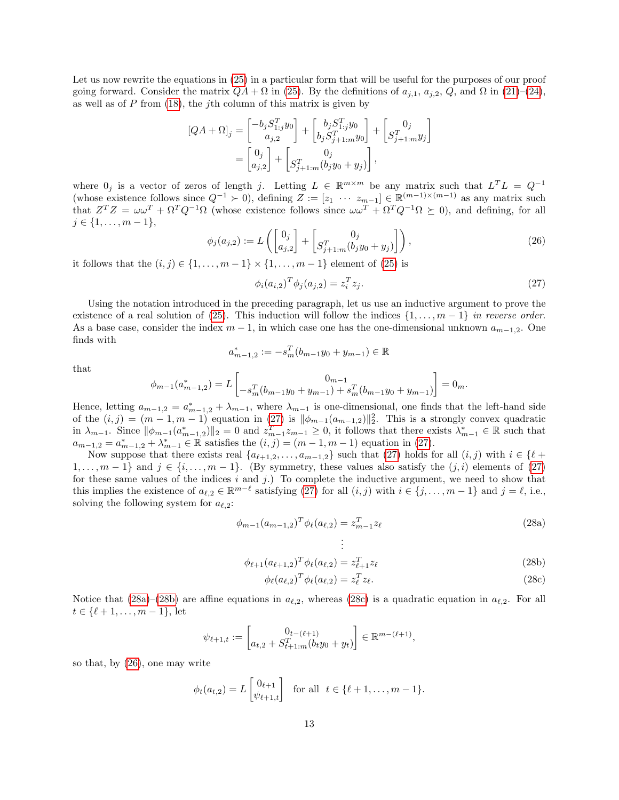Let us now rewrite the equations in  $(25)$  in a particular form that will be useful for the purposes of our proof going forward. Consider the matrix  $QA + \Omega$  in [\(25\)](#page-11-4). By the definitions of  $a_{j,1}, a_{j,2}, Q$ , and  $\Omega$  in [\(21\)](#page-11-5)–[\(24\)](#page-11-6), as well as of  $P$  from  $(18)$ , the j<sup>th</sup> column of this matrix is given by

$$
[QA + \Omega]_j = \begin{bmatrix} -b_j S_{1,j}^T y_0 \\ a_{j,2} \end{bmatrix} + \begin{bmatrix} b_j S_{1,j}^T y_0 \\ b_j S_{j+1:m}^T y_0 \end{bmatrix} + \begin{bmatrix} 0_j \\ S_{j+1:m}^T y_j \end{bmatrix}
$$
  
= 
$$
\begin{bmatrix} 0_j \\ a_{j,2} \end{bmatrix} + \begin{bmatrix} 0_j \\ S_{j+1:m}^T (b_j y_0 + y_j) \end{bmatrix},
$$

where  $0_j$  is a vector of zeros of length j. Letting  $L \in \mathbb{R}^{m \times m}$  be any matrix such that  $L^T L = Q^{-1}$ (whose existence follows since  $Q^{-1} \succ 0$ ), defining  $Z := [z_1 \cdots z_{m-1}] \in \mathbb{R}^{(m-1)\times(m-1)}$  as any matrix such that  $Z^T Z = \omega \omega^T + \Omega^T Q^{-1} \Omega$  (whose existence follows since  $\omega \omega^T + \Omega^T Q^{-1} \Omega \succeq 0$ ), and defining, for all  $j \in \{1, \ldots, m-1\},\$ 

<span id="page-12-4"></span>
$$
\phi_j(a_{j,2}) := L\left(\begin{bmatrix} 0_j \\ a_{j,2} \end{bmatrix} + \begin{bmatrix} 0_j \\ S_{j+1:m}^T(b_jy_0 + y_j) \end{bmatrix}\right),\tag{26}
$$

it follows that the  $(i, j) \in \{1, \ldots, m-1\} \times \{1, \ldots, m-1\}$  element of [\(25\)](#page-11-4) is

<span id="page-12-0"></span>
$$
\phi_i(a_{i,2})^T \phi_j(a_{j,2}) = z_i^T z_j.
$$
\n(27)

Using the notation introduced in the preceding paragraph, let us use an inductive argument to prove the existence of a real solution of [\(25\)](#page-11-4). This induction will follow the indices  $\{1, \ldots, m-1\}$  in reverse order. As a base case, consider the index  $m-1$ , in which case one has the one-dimensional unknown  $a_{m-1,2}$ . One finds with

$$
a_{m-1,2}^* := -s_m^T(b_{m-1}y_0 + y_{m-1}) \in \mathbb{R}
$$

that

$$
\phi_{m-1}(a_{m-1,2}^*) = L \begin{bmatrix} 0_{m-1} & 0_{m-1} \\ -s_m^T(b_{m-1}y_0 + y_{m-1}) + s_m^T(b_{m-1}y_0 + y_{m-1}) \end{bmatrix} = 0_m.
$$

Hence, letting  $a_{m-1,2} = a_{m-1,2}^* + \lambda_{m-1}$ , where  $\lambda_{m-1}$  is one-dimensional, one finds that the left-hand side of the  $(i, j) = (m - 1, m - 1)$  equation in  $(27)$  is  $\|\phi_{m-1}(a_{m-1,2})\|_2^2$ . This is a strongly convex quadratic in  $\lambda_{m-1}$ . Since  $\|\phi_{m-1}(a_{m-1,2}^*)\|_2 = 0$  and  $z_{m-1}^T z_{m-1} \geq 0$ , it follows that there exists  $\lambda_{m-1}^* \in \mathbb{R}$  such that  $a_{m-1,2} = a_{m-1,2}^* + \lambda_{m-1}^* \in \mathbb{R}$  satisfies the  $(i, j) = (m - 1, m - 1)$  equation in [\(27\)](#page-12-0).

Now suppose that there exists real  $\{a_{\ell+1,2}, \ldots, a_{m-1,2}\}$  such that [\(27\)](#page-12-0) holds for all  $(i, j)$  with  $i \in \{\ell + 1, 2, \ldots, a_{m-1,2}\}$  $1, \ldots, m-1$  and  $j \in \{i, \ldots, m-1\}$ . (By symmetry, these values also satisfy the  $(j, i)$  elements of [\(27\)](#page-12-0) for these same values of the indices  $i$  and  $j$ .) To complete the inductive argument, we need to show that this implies the existence of  $a_{\ell,2} \in \mathbb{R}^{m-\ell}$  satisfying [\(27\)](#page-12-0) for all  $(i, j)$  with  $i \in \{j, \ldots, m-1\}$  and  $j = \ell$ , i.e., solving the following system for  $a_{\ell,2}$ :

<span id="page-12-5"></span>
$$
\phi_{m-1}(a_{m-1,2})^T \phi_{\ell}(a_{\ell,2}) = z_{m-1}^T z_{\ell}
$$
\n
$$
\vdots
$$
\n(28a)

$$
\phi_{\ell+1}(a_{\ell+1,2})^T \phi_{\ell}(a_{\ell,2}) = z_{\ell+1}^T z_{\ell}
$$
\n(28b)

<span id="page-12-3"></span><span id="page-12-2"></span><span id="page-12-1"></span>
$$
\phi_{\ell}(a_{\ell,2})^T \phi_{\ell}(a_{\ell,2}) = z_{\ell}^T z_{\ell}.
$$
\n(28c)

Notice that [\(28a\)](#page-12-1)–[\(28b\)](#page-12-2) are affine equations in  $a_{\ell,2}$ , whereas [\(28c\)](#page-12-3) is a quadratic equation in  $a_{\ell,2}$ . For all  $t \in \{\ell + 1, \ldots, m - 1\}, \text{let}$ 

$$
\psi_{\ell+1,t} := \begin{bmatrix} 0_{t-(\ell+1)} \\ a_{t,2} + S_{t+1:m}^T(b_ty_0 + y_t) \end{bmatrix} \in \mathbb{R}^{m-(\ell+1)},
$$

so that, by [\(26\)](#page-12-4), one may write

$$
\phi_t(a_{t,2}) = L\begin{bmatrix} 0_{\ell+1} \\ \psi_{\ell+1,t} \end{bmatrix}
$$
 for all  $t \in \{\ell+1,\ldots,m-1\}.$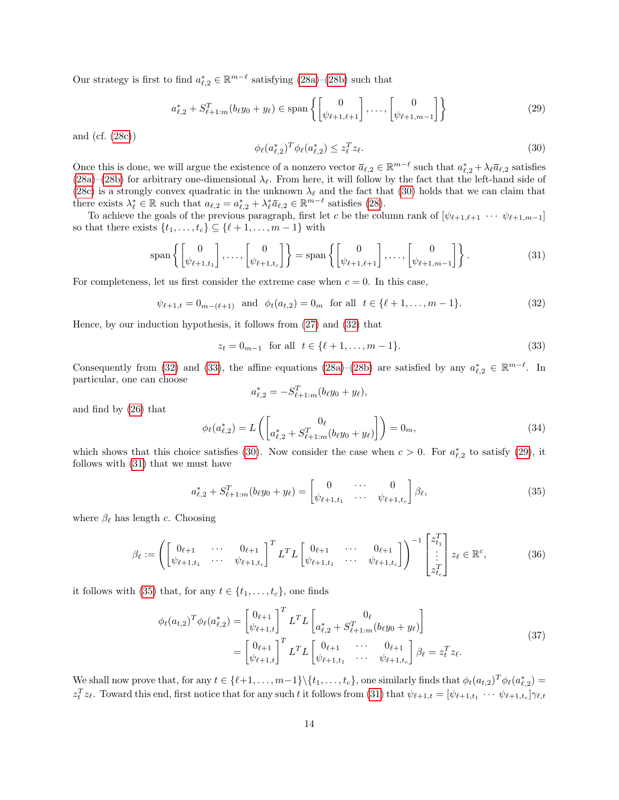Our strategy is first to find  $a_{\ell,2}^* \in \mathbb{R}^{m-\ell}$  satisfying  $(28a)-(28b)$  $(28a)-(28b)$  $(28a)-(28b)$  such that

<span id="page-13-3"></span>
$$
a_{\ell,2}^* + S_{\ell+1:m}^T(b_{\ell}y_0 + y_{\ell}) \in \text{span}\left\{ \begin{bmatrix} 0 \\ \psi_{\ell+1,\ell+1} \end{bmatrix}, \dots, \begin{bmatrix} 0 \\ \psi_{\ell+1,m-1} \end{bmatrix} \right\}
$$
(29)

and (cf. [\(28c\)](#page-12-3))

<span id="page-13-0"></span>
$$
\phi_{\ell}(a_{\ell,2}^*)^T \phi_{\ell}(a_{\ell,2}^*) \le z_{\ell}^T z_{\ell}.
$$
\n(30)

Once this is done, we will argue the existence of a nonzero vector  $\bar{a}_{\ell,2} \in \mathbb{R}^{m-\ell}$  such that  $a^*_{\ell,2} + \lambda_{\ell} \bar{a}_{\ell,2}$  satisfies [\(28a\)](#page-12-1)–[\(28b\)](#page-12-2) for arbitrary one-dimensional  $\lambda_{\ell}$ . From here, it will follow by the fact that the left-hand side of [\(28c\)](#page-12-3) is a strongly convex quadratic in the unknown  $\lambda_{\ell}$  and the fact that [\(30\)](#page-13-0) holds that we can claim that there exists  $\lambda_{\ell}^* \in \mathbb{R}$  such that  $a_{\ell,2} = a_{\ell,2}^* + \lambda_{\ell}^* \bar{a}_{\ell,2} \in \mathbb{R}^{m-\ell}$  satisfies [\(28\)](#page-12-5).

To achieve the goals of the previous paragraph, first let c be the column rank of  $[\psi_{\ell+1,\ell+1} \cdots \psi_{\ell+1,m-1}]$ so that there exists  $\{t_1, \ldots, t_c\} \subseteq \{\ell + 1, \ldots, m - 1\}$  with

<span id="page-13-4"></span>
$$
\operatorname{span}\left\{ \begin{bmatrix} 0 \\ \psi_{\ell+1,t_1} \end{bmatrix}, \dots, \begin{bmatrix} 0 \\ \psi_{\ell+1,t_c} \end{bmatrix} \right\} = \operatorname{span}\left\{ \begin{bmatrix} 0 \\ \psi_{\ell+1,\ell+1} \end{bmatrix}, \dots, \begin{bmatrix} 0 \\ \psi_{\ell+1,m-1} \end{bmatrix} \right\}.
$$
 (31)

For completeness, let us first consider the extreme case when  $c = 0$ . In this case,

<span id="page-13-1"></span>
$$
\psi_{\ell+1,t} = 0_{m-(\ell+1)} \text{ and } \phi_t(a_{t,2}) = 0_m \text{ for all } t \in \{\ell+1,\ldots,m-1\}. \tag{32}
$$

Hence, by our induction hypothesis, it follows from [\(27\)](#page-12-0) and [\(32\)](#page-13-1) that

<span id="page-13-2"></span>
$$
z_t = 0_{m-1} \text{ for all } t \in \{\ell+1, \dots, m-1\}. \tag{33}
$$

Consequently from [\(32\)](#page-13-1) and [\(33\)](#page-13-2), the affine equations [\(28a\)](#page-12-1)–[\(28b\)](#page-12-2) are satisfied by any  $a_{\ell,2}^* \in \mathbb{R}^{m-\ell}$ . In particular, one can choose

$$
a_{\ell,2}^* = -S_{\ell+1:m}^T(b_{\ell}y_0 + y_{\ell}),
$$

and find by [\(26\)](#page-12-4) that

$$
\phi_{\ell}(a_{\ell,2}^*) = L\left(\begin{bmatrix} 0_{\ell} & 0_{\ell} \\ a_{\ell,2}^* + S_{\ell+1:m}^T(b_{\ell}y_0 + y_{\ell}) \end{bmatrix}\right) = 0_m,
$$
\n(34)

which shows that this choice satisfies [\(30\)](#page-13-0). Now consider the case when  $c > 0$ . For  $a_{\ell,2}^*$  to satisfy [\(29\)](#page-13-3), it follows with [\(31\)](#page-13-4) that we must have

<span id="page-13-5"></span>
$$
a_{\ell,2}^* + S_{\ell+1:m}^T(b_{\ell}y_0 + y_{\ell}) = \begin{bmatrix} 0 & \cdots & 0 \\ \psi_{\ell+1,t_1} & \cdots & \psi_{\ell+1,t_c} \end{bmatrix} \beta_{\ell},
$$
\n(35)

where  $\beta_{\ell}$  has length c. Choosing

<span id="page-13-7"></span>
$$
\beta_{\ell} := \left( \begin{bmatrix} 0_{\ell+1} & \cdots & 0_{\ell+1} \\ \psi_{\ell+1,t_1} & \cdots & \psi_{\ell+1,t_c} \end{bmatrix}^T L^T L \begin{bmatrix} 0_{\ell+1} & \cdots & 0_{\ell+1} \\ \psi_{\ell+1,t_1} & \cdots & \psi_{\ell+1,t_c} \end{bmatrix} \right)^{-1} \begin{bmatrix} z_{t_1}^T \\ \vdots \\ z_{t_c}^T \end{bmatrix} z_{\ell} \in \mathbb{R}^c, \tag{36}
$$

it follows with [\(35\)](#page-13-5) that, for any  $t \in \{t_1, \ldots, t_c\}$ , one finds

<span id="page-13-6"></span>
$$
\phi_t(a_{t,2})^T \phi_\ell(a_{\ell,2}^*) = \begin{bmatrix} 0_{\ell+1} \\ \psi_{\ell+1,t} \end{bmatrix}^T L^T L \begin{bmatrix} 0_\ell \\ a_{\ell,2}^* + S_{\ell+1:m}^T (b_\ell y_0 + y_\ell) \end{bmatrix}
$$
\n
$$
= \begin{bmatrix} 0_{\ell+1} \\ \psi_{\ell+1,t} \end{bmatrix}^T L^T L \begin{bmatrix} 0_{\ell+1} & \cdots & 0_{\ell+1} \\ \psi_{\ell+1,t_1} & \cdots & \psi_{\ell+1,t_c} \end{bmatrix} \beta_\ell = z_t^T z_\ell.
$$
\n(37)

We shall now prove that, for any  $t \in \{\ell+1,\ldots,m-1\}\setminus\{t_1,\ldots,t_c\}$ , one similarly finds that  $\phi_t(a_{t,2})^T\phi_{\ell}(a_{\ell,2}^*)$  $z_t^T z_\ell$ . Toward this end, first notice that for any such t it follows from [\(31\)](#page-13-4) that  $\psi_{\ell+1,t} = [\psi_{\ell+1,t_1} \cdots \psi_{\ell+1,t_c}] \gamma_{\ell,t}$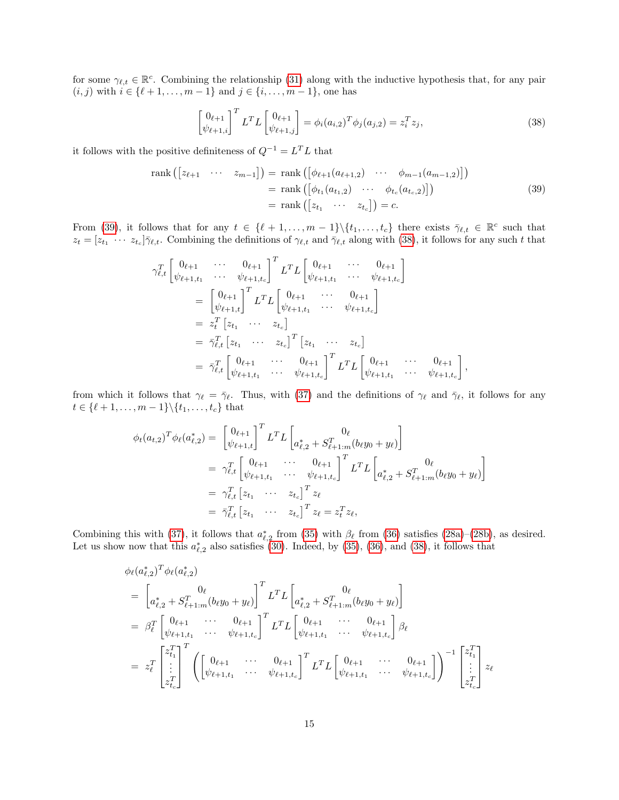for some  $\gamma_{\ell,t} \in \mathbb{R}^c$ . Combining the relationship [\(31\)](#page-13-4) along with the inductive hypothesis that, for any pair  $(i, j)$  with  $i \in \{\ell + 1, \ldots, m - 1\}$  and  $j \in \{i, \ldots, m - 1\}$ , one has

<span id="page-14-1"></span>
$$
\begin{bmatrix} 0_{\ell+1} \\ \psi_{\ell+1,i} \end{bmatrix}^T L^T L \begin{bmatrix} 0_{\ell+1} \\ \psi_{\ell+1,j} \end{bmatrix} = \phi_i (a_{i,2})^T \phi_j (a_{j,2}) = z_i^T z_j,
$$
\n(38)

,

it follows with the positive definiteness of  $Q^{-1} = L^T L$  that

<span id="page-14-0"></span>
$$
\operatorname{rank}\left(\begin{bmatrix} z_{\ell+1} & \cdots & z_{m-1} \end{bmatrix}\right) = \operatorname{rank}\left(\begin{bmatrix} \phi_{\ell+1}(a_{\ell+1,2}) & \cdots & \phi_{m-1}(a_{m-1,2}) \end{bmatrix}\right)
$$

$$
= \operatorname{rank}\left(\begin{bmatrix} \phi_{t_1}(a_{t_1,2}) & \cdots & \phi_{t_c}(a_{t_c,2}) \end{bmatrix}\right)
$$

$$
= \operatorname{rank}\left(\begin{bmatrix} z_{t_1} & \cdots & z_{t_c} \end{bmatrix}\right) = c.
$$
(39)

From [\(39\)](#page-14-0), it follows that for any  $t \in \{\ell + 1, \ldots, m - 1\} \setminus \{t_1, \ldots, t_c\}$  there exists  $\overline{\gamma}_{\ell,t} \in \mathbb{R}^c$  such that  $z_t = [z_{t_1} \cdots z_{t_c}] \bar{\gamma}_{\ell,t}$ . Combining the definitions of  $\gamma_{\ell,t}$  and  $\bar{\gamma}_{\ell,t}$  along with [\(38\)](#page-14-1), it follows for any such t that

$$
\gamma_{\ell,t}^T \begin{bmatrix} 0_{\ell+1} & \cdots & 0_{\ell+1} \\ \psi_{\ell+1,t_1} & \cdots & \psi_{\ell+1,t_c} \end{bmatrix}^T L^T L \begin{bmatrix} 0_{\ell+1} & \cdots & 0_{\ell+1} \\ \psi_{\ell+1,t_1} & \cdots & \psi_{\ell+1,t_c} \end{bmatrix}
$$
  
\n
$$
= \begin{bmatrix} 0_{\ell+1} \\ \psi_{\ell+1,t} \end{bmatrix}^T L^T L \begin{bmatrix} 0_{\ell+1} & \cdots & 0_{\ell+1} \\ \psi_{\ell+1,t_1} & \cdots & \psi_{\ell+1,t_c} \end{bmatrix}
$$
  
\n
$$
= z_t^T \begin{bmatrix} z_{t_1} & \cdots & z_{t_c} \end{bmatrix}
$$
  
\n
$$
= \bar{\gamma}_{\ell,t}^T \begin{bmatrix} z_{t_1} & \cdots & z_{t_c} \end{bmatrix}^T \begin{bmatrix} z_{t_1} & \cdots & z_{t_c} \end{bmatrix}
$$
  
\n
$$
= \bar{\gamma}_{\ell,t}^T \begin{bmatrix} 0_{\ell+1} & \cdots & 0_{\ell+1} \\ \psi_{\ell+1,t_1} & \cdots & \psi_{\ell+1,t_c} \end{bmatrix}^T L^T L \begin{bmatrix} 0_{\ell+1} & \cdots & 0_{\ell+1} \\ \psi_{\ell+1,t_1} & \cdots & \psi_{\ell+1,t_c} \end{bmatrix}
$$

from which it follows that  $\gamma_\ell = \bar{\gamma}_\ell$ . Thus, with [\(37\)](#page-13-6) and the definitions of  $\gamma_\ell$  and  $\bar{\gamma}_\ell$ , it follows for any  $t \in \{\ell + 1, \ldots, m - 1\} \backslash \{t_1, \ldots, t_c\}$  that

$$
\phi_t(a_{t,2})^T \phi_\ell(a_{\ell,2}^*) = \begin{bmatrix} 0_{\ell+1} \\ \psi_{\ell+1,t} \end{bmatrix}^T L^T L \begin{bmatrix} 0_\ell \\ a_{\ell,2}^* + S_{\ell+1:m}^T (b_\ell y_0 + y_\ell) \end{bmatrix}
$$
  
\n
$$
= \gamma_{\ell,t}^T \begin{bmatrix} 0_{\ell+1} & \cdots & 0_{\ell+1} \\ \psi_{\ell+1,t_1} & \cdots & \psi_{\ell+1,t_c} \end{bmatrix}^T L^T L \begin{bmatrix} 0_\ell \\ a_{\ell,2}^* + S_{\ell+1:m}^T (b_\ell y_0 + y_\ell) \end{bmatrix}
$$
  
\n
$$
= \gamma_{\ell,t}^T \begin{bmatrix} z_{t_1} & \cdots & z_{t_c} \end{bmatrix}^T z_\ell
$$
  
\n
$$
= \bar{\gamma}_{\ell,t}^T \begin{bmatrix} z_{t_1} & \cdots & z_{t_c} \end{bmatrix}^T z_\ell = z_t^T z_\ell,
$$

Combining this with [\(37\)](#page-13-6), it follows that  $a_{\ell,2}^*$  from [\(35\)](#page-13-5) with  $\beta_{\ell}$  from [\(36\)](#page-13-7) satisfies [\(28a\)](#page-12-1)–[\(28b\)](#page-12-2), as desired. Let us show now that this  $a_{\ell,2}^*$  also satisfies [\(30\)](#page-13-0). Indeed, by [\(35\)](#page-13-5), [\(36\)](#page-13-7), and [\(38\)](#page-14-1), it follows that

$$
\begin{split}\n&\phi_{\ell}(a_{\ell,2}^{*})^{T}\phi_{\ell}(a_{\ell,2}^{*}) \\
&= \left[a_{\ell,2}^{*} + S_{\ell+1:m}^{T}(b_{\ell}y_{0} + y_{\ell})\right]^{T} L^{T} L\left[a_{\ell,2}^{*} + S_{\ell+1:m}^{T}(b_{\ell}y_{0} + y_{\ell})\right] \\
&= \beta_{\ell}^{T}\left[\begin{array}{cccc}0_{\ell+1} & \cdots & 0_{\ell+1} \\ \psi_{\ell+1,t_{1}} & \cdots & \psi_{\ell+1,t_{c}}\end{array}\right]^{T} L^{T} L\left[\begin{array}{cccc}0_{\ell+1} & \cdots & 0_{\ell+1} \\ \psi_{\ell+1,t_{1}} & \cdots & \psi_{\ell+1,t_{c}}\end{array}\right] \beta_{\ell} \\
&= z_{\ell}^{T}\left[\begin{array}{cccc}z_{t_{1}}^{T} \\ \vdots \\ z_{t_{c}}^{T}\end{array}\right]^{T}\left(\left[\begin{array}{cccc}0_{\ell+1} & \cdots & 0_{\ell+1} \\ \psi_{\ell+1,t_{1}} & \cdots & \psi_{\ell+1,t_{c}}\end{array}\right]^{T} L^{T} L\left[\begin{array}{cccc}0_{\ell+1} & \cdots & 0_{\ell+1} \\ \psi_{\ell+1,t_{1}} & \cdots & \psi_{\ell+1,t_{c}}\end{array}\right]\right)^{-1}\left[\begin{array}{cccc}z_{t_{1}}^{T} \\ \vdots \\ z_{t_{c}}^{T}\end{array}\right]z_{\ell}\n\end{split}
$$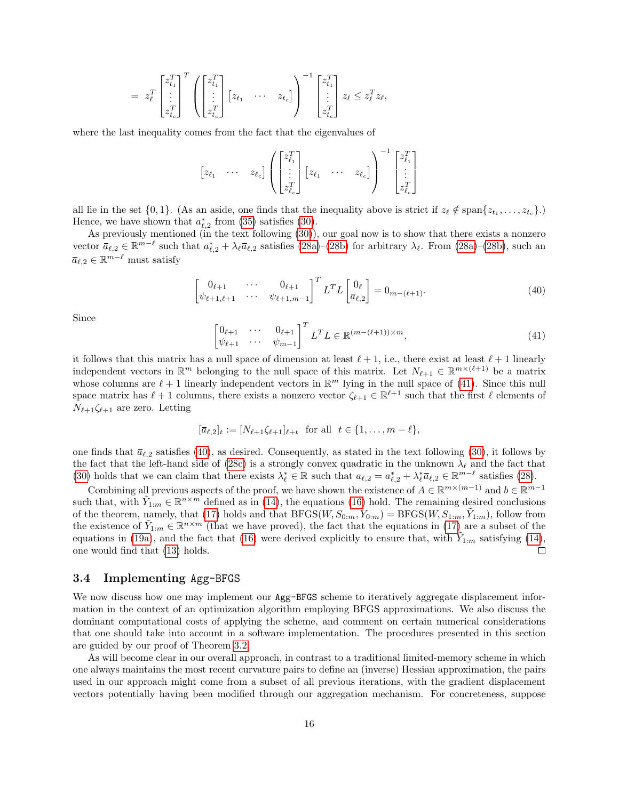$$
= z_{\ell}^{T} \begin{bmatrix} z_{t_1}^{T} \\ \vdots \\ z_{t_c}^{T} \end{bmatrix}^{T} \left( \begin{bmatrix} z_{t_1}^{T} \\ \vdots \\ z_{t_c}^{T} \end{bmatrix} \begin{bmatrix} z_{t_1} & \dots & z_{t_c} \end{bmatrix} \right)^{-1} \begin{bmatrix} z_{t_1}^{T} \\ \vdots \\ z_{t_c}^{T} \end{bmatrix} z_{\ell} \leq z_{\ell}^{T} z_{\ell},
$$

where the last inequality comes from the fact that the eigenvalues of

$$
\begin{bmatrix} z_{\ell_1} & \cdots & z_{\ell_c} \end{bmatrix} \left( \begin{bmatrix} z_{\ell_1}^T \\ \vdots \\ z_{\ell_c}^T \end{bmatrix} \begin{bmatrix} z_{\ell_1} & \cdots & z_{\ell_c} \end{bmatrix} \right)^{-1} \begin{bmatrix} z_{\ell_1}^T \\ \vdots \\ z_{\ell_c}^T \end{bmatrix}
$$

all lie in the set  $\{0,1\}$ . (As an aside, one finds that the inequality above is strict if  $z_{\ell} \notin \text{span}\{z_{t_1}, \ldots, z_{t_c}\}$ .) Hence, we have shown that  $a_{\ell,2}^*$  from [\(35\)](#page-13-5) satisfies [\(30\)](#page-13-0).

As previously mentioned (in the text following [\(30\)](#page-13-0)), our goal now is to show that there exists a nonzero vector  $\bar{a}_{\ell,2} \in \mathbb{R}^{m-\ell}$  such that  $a^*_{\ell,2} + \lambda_{\ell} \bar{a}_{\ell,2}$  satisfies  $(28a)-(28b)$  $(28a)-(28b)$  $(28a)-(28b)$  for arbitrary  $\lambda_{\ell}$ . From  $(28a)-(28b)$ , such an  $\bar{a}_{\ell,2} \in \mathbb{R}^{m-\ell}$  must satisfy

<span id="page-15-2"></span>
$$
\begin{bmatrix}\n0_{\ell+1} & \cdots & 0_{\ell+1} \\
\psi_{\ell+1,\ell+1} & \cdots & \psi_{\ell+1,m-1}\n\end{bmatrix}^T L^T L \begin{bmatrix}\n0_{\ell} \\
\bar{a}_{\ell,2}\n\end{bmatrix} = 0_{m-(\ell+1)}.
$$
\n(40)

Since

<span id="page-15-1"></span>
$$
\begin{bmatrix}\n0_{\ell+1} & \cdots & 0_{\ell+1} \\
\psi_{\ell+1} & \cdots & \psi_{m-1}\n\end{bmatrix}^T L^T L \in \mathbb{R}^{(m-(\ell+1)) \times m},
$$
\n(41)

it follows that this matrix has a null space of dimension at least  $\ell + 1$ , i.e., there exist at least  $\ell + 1$  linearly independent vectors in  $\mathbb{R}^m$  belonging to the null space of this matrix. Let  $N_{\ell+1} \in \mathbb{R}^{m \times (\ell+1)}$  be a matrix whose columns are  $\ell + 1$  linearly independent vectors in  $\mathbb{R}^m$  lying in the null space of [\(41\)](#page-15-1). Since this null space matrix has  $\ell + 1$  columns, there exists a nonzero vector  $\zeta_{\ell+1} \in \mathbb{R}^{\ell+1}$  such that the first  $\ell$  elements of  $N_{\ell+1}\zeta_{\ell+1}$  are zero. Letting

$$
[\bar{a}_{\ell,2}]_t := [N_{\ell+1}\zeta_{\ell+1}]_{\ell+t} \text{ for all } t \in \{1,\ldots,m-\ell\},
$$

one finds that  $\bar{a}_{\ell,2}$  satisfies [\(40\)](#page-15-2), as desired. Consequently, as stated in the text following [\(30\)](#page-13-0), it follows by the fact that the left-hand side of [\(28c\)](#page-12-3) is a strongly convex quadratic in the unknown  $\lambda_{\ell}$  and the fact that [\(30\)](#page-13-0) holds that we can claim that there exists  $\lambda_{\ell}^* \in \mathbb{R}$  such that  $a_{\ell,2} = a_{\ell,2}^* + \lambda_{\ell}^* \bar{a}_{\ell,2} \in \mathbb{R}^{m-\ell}$  satisfies [\(28\)](#page-12-5).

Combining all previous aspects of the proof, we have shown the existence of  $A \in \mathbb{R}^{m \times (m-1)}$  and  $b \in \mathbb{R}^{m-1}$ such that, with  $\tilde{Y}_{1:m} \in \mathbb{R}^{n \times m}$  defined as in [\(14\)](#page-9-1), the equations [\(16\)](#page-11-1) hold. The remaining desired conclusions of the theorem, namely, that [\(17\)](#page-9-3) holds and that  $BFGS(W, S_{0:m}, Y_{0:m}) = BFGS(W, S_{1:m}, \tilde{Y}_{1:m})$ , follow from the existence of  $\tilde{Y}_{1:m} \in \mathbb{R}^{n \times m}$  (that we have proved), the fact that the equations in [\(17\)](#page-9-3) are a subset of the equations in [\(19a\)](#page-10-1), and the fact that [\(16\)](#page-11-1) were derived explicitly to ensure that, with  $\tilde{Y}_{1:m}$  satisfying [\(14\)](#page-9-1), one would find that [\(13\)](#page-9-0) holds.  $\Box$ 

## <span id="page-15-0"></span>3.4 Implementing Agg-BFGS

We now discuss how one may implement our  $Agg-BFGS$  scheme to iteratively aggregate displacement information in the context of an optimization algorithm employing BFGS approximations. We also discuss the dominant computational costs of applying the scheme, and comment on certain numerical considerations that one should take into account in a software implementation. The procedures presented in this section are guided by our proof of Theorem [3.2.](#page-9-4)

As will become clear in our overall approach, in contrast to a traditional limited-memory scheme in which one always maintains the most recent curvature pairs to define an (inverse) Hessian approximation, the pairs used in our approach might come from a subset of all previous iterations, with the gradient displacement vectors potentially having been modified through our aggregation mechanism. For concreteness, suppose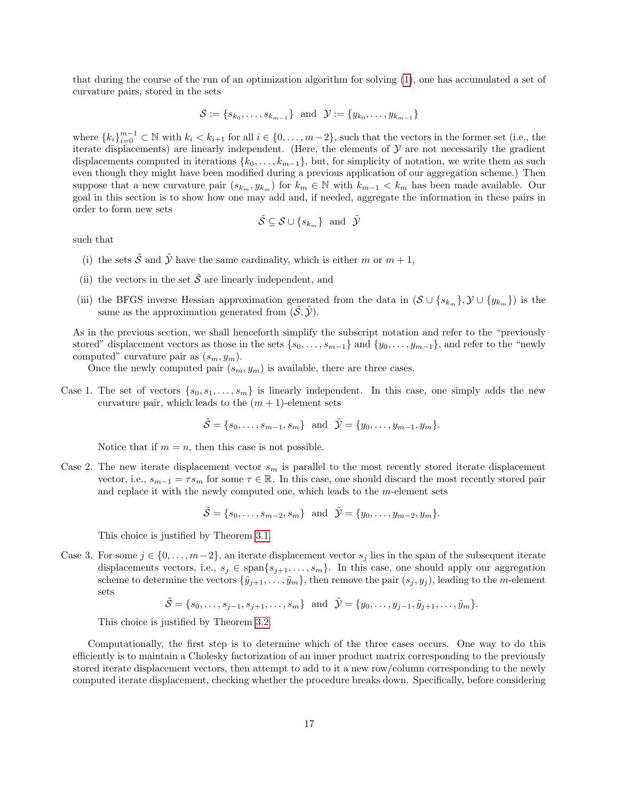that during the course of the run of an optimization algorithm for solving [\(1\)](#page-3-0), one has accumulated a set of curvature pairs, stored in the sets

$$
\mathcal{S} := \{s_{k_0}, \dots, s_{k_{m-1}}\} \text{ and } \mathcal{Y} := \{y_{k_0}, \dots, y_{k_{m-1}}\}
$$

where  $\{k_i\}_{i=0}^{m-1} \subset \mathbb{N}$  with  $k_i < k_{i+1}$  for all  $i \in \{0, \ldots, m-2\}$ , such that the vectors in the former set (i.e., the iterate displacements) are linearly independent. (Here, the elements of  $\mathcal Y$  are not necessarily the gradient displacements computed in iterations  $\{k_0, \ldots, k_{m-1}\}\,$ , but, for simplicity of notation, we write them as such even though they might have been modified during a previous application of our aggregation scheme.) Then suppose that a new curvature pair  $(s_{k_m}, y_{k_m})$  for  $k_m \in \mathbb{N}$  with  $k_{m-1} < k_m$  has been made available. Our goal in this section is to show how one may add and, if needed, aggregate the information in these pairs in order to form new sets

$$
\tilde{\mathcal{S}} \subseteq \mathcal{S} \cup \{s_{k_m}\} \text{ and } \tilde{\mathcal{Y}}
$$

such that

- (i) the sets  $\tilde{\mathcal{S}}$  and  $\tilde{\mathcal{Y}}$  have the same cardinality, which is either m or  $m+1$ ,
- (ii) the vectors in the set  $\tilde{\mathcal{S}}$  are linearly independent, and
- (iii) the BFGS inverse Hessian approximation generated from the data in  $(S \cup \{s_{k_m}\}, \mathcal{Y} \cup \{y_{k_m}\})$  is the same as the approximation generated from  $(\tilde{S}, \tilde{Y})$ .

As in the previous section, we shall henceforth simplify the subscript notation and refer to the "previously stored" displacement vectors as those in the sets  $\{s_0, \ldots, s_{m-1}\}\$  and  $\{y_0, \ldots, y_{m-1}\}\$ , and refer to the "newly computed" curvature pair as  $(s_m, y_m)$ .

Once the newly computed pair  $(s_m, y_m)$  is available, there are three cases.

Case 1. The set of vectors  $\{s_0, s_1, \ldots, s_m\}$  is linearly independent. In this case, one simply adds the new curvature pair, which leads to the  $(m + 1)$ -element sets

$$
\tilde{\mathcal{S}} = \{s_0, \ldots, s_{m-1}, s_m\} \text{ and } \tilde{\mathcal{Y}} = \{y_0, \ldots, y_{m-1}, y_m\}.
$$

Notice that if  $m = n$ , then this case is not possible.

Case 2. The new iterate displacement vector  $s_m$  is parallel to the most recently stored iterate displacement vector, i.e.,  $s_{m-1} = \tau s_m$  for some  $\tau \in \mathbb{R}$ . In this case, one should discard the most recently stored pair and replace it with the newly computed one, which leads to the  $m$ -element sets

$$
\tilde{S} = \{s_0, \ldots, s_{m-2}, s_m\}
$$
 and  $\tilde{\mathcal{Y}} = \{y_0, \ldots, y_{m-2}, y_m\}.$ 

This choice is justified by Theorem [3.1.](#page-6-2)

Case 3. For some  $j \in \{0, \ldots, m-2\}$ , an iterate displacement vector  $s_j$  lies in the span of the subsequent iterate displacements vectors, i.e.,  $s_j \in \text{span}\{s_{j+1}, \ldots, s_m\}$ . In this case, one should apply our aggregation scheme to determine the vectors  $\{\tilde{y}_{j+1}, \ldots, \tilde{y}_m\}$ , then remove the pair  $(s_j, y_j)$ , leading to the m-element sets

$$
\tilde{\mathcal{S}} = \{s_0, \ldots, s_{j-1}, s_{j+1}, \ldots, s_m\}
$$
 and  $\tilde{\mathcal{Y}} = \{y_0, \ldots, y_{j-1}, \tilde{y}_{j+1}, \ldots, \tilde{y}_m\}.$ 

This choice is justified by Theorem [3.2.](#page-9-4)

Computationally, the first step is to determine which of the three cases occurs. One way to do this efficiently is to maintain a Cholesky factorization of an inner product matrix corresponding to the previously stored iterate displacement vectors, then attempt to add to it a new row/column corresponding to the newly computed iterate displacement, checking whether the procedure breaks down. Specifically, before considering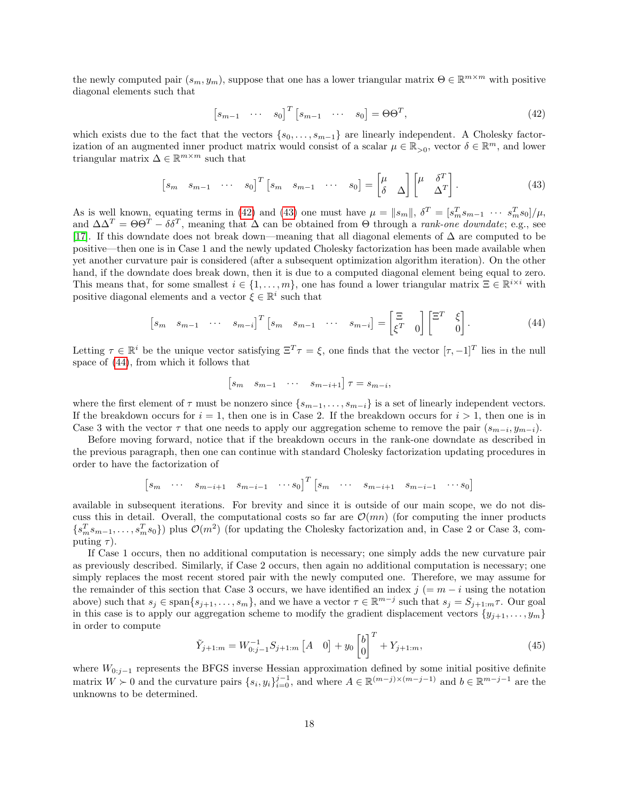the newly computed pair  $(s_m, y_m)$ , suppose that one has a lower triangular matrix  $\Theta \in \mathbb{R}^{m \times m}$  with positive diagonal elements such that

<span id="page-17-0"></span>
$$
\begin{bmatrix} s_{m-1} & \cdots & s_0 \end{bmatrix}^T \begin{bmatrix} s_{m-1} & \cdots & s_0 \end{bmatrix} = \Theta \Theta^T,
$$
\n(42)

which exists due to the fact that the vectors  $\{s_0, \ldots, s_{m-1}\}\$  are linearly independent. A Cholesky factorization of an augmented inner product matrix would consist of a scalar  $\mu \in \mathbb{R}_{>0}$ , vector  $\delta \in \mathbb{R}^m$ , and lower triangular matrix  $\Delta \in \mathbb{R}^{m \times m}$  such that

<span id="page-17-1"></span>
$$
\begin{bmatrix} s_m & s_{m-1} & \cdots & s_0 \end{bmatrix}^T \begin{bmatrix} s_m & s_{m-1} & \cdots & s_0 \end{bmatrix} = \begin{bmatrix} \mu & \Delta \\ \delta & \Delta \end{bmatrix} \begin{bmatrix} \mu & \delta^T \\ \Delta^T \end{bmatrix} . \tag{43}
$$

As is well known, equating terms in [\(42\)](#page-17-0) and [\(43\)](#page-17-1) one must have  $\mu = ||s_m||$ ,  $\delta^T = [s_m^T s_{m-1} \cdots s_m^T s_0]/\mu$ , and  $\Delta \Delta^T = \Theta \Theta^T - \delta \delta^T$ , meaning that  $\Delta$  can be obtained from  $\Theta$  through a *rank-one downdate*; e.g., see [\[17\]](#page-22-18). If this downdate does not break down—meaning that all diagonal elements of ∆ are computed to be positive—then one is in Case 1 and the newly updated Cholesky factorization has been made available when yet another curvature pair is considered (after a subsequent optimization algorithm iteration). On the other hand, if the downdate does break down, then it is due to a computed diagonal element being equal to zero. This means that, for some smallest  $i \in \{1, \ldots, m\}$ , one has found a lower triangular matrix  $\Xi \in \mathbb{R}^{i \times i}$  with positive diagonal elements and a vector  $\zeta \in \mathbb{R}^i$  such that

<span id="page-17-2"></span>
$$
\begin{bmatrix} s_m & s_{m-1} & \cdots & s_{m-i} \end{bmatrix}^T \begin{bmatrix} s_m & s_{m-1} & \cdots & s_{m-i} \end{bmatrix} = \begin{bmatrix} \Xi & b \ \xi^T & 0 \end{bmatrix} \begin{bmatrix} \Xi^T & \xi \ 0 & 0 \end{bmatrix} . \tag{44}
$$

Letting  $\tau \in \mathbb{R}^i$  be the unique vector satisfying  $\Xi^T \tau = \xi$ , one finds that the vector  $[\tau, -1]^T$  lies in the null space of [\(44\)](#page-17-2), from which it follows that

$$
\begin{bmatrix} s_m & s_{m-1} & \cdots & s_{m-i+1} \end{bmatrix} \tau = s_{m-i},
$$

where the first element of  $\tau$  must be nonzero since  $\{s_{m-1}, \ldots, s_{m-i}\}$  is a set of linearly independent vectors. If the breakdown occurs for  $i = 1$ , then one is in Case 2. If the breakdown occurs for  $i > 1$ , then one is in Case 3 with the vector  $\tau$  that one needs to apply our aggregation scheme to remove the pair  $(s_{m-i}, y_{m-i})$ .

Before moving forward, notice that if the breakdown occurs in the rank-one downdate as described in the previous paragraph, then one can continue with standard Cholesky factorization updating procedures in order to have the factorization of

$$
\begin{bmatrix} s_m & \cdots & s_{m-i+1} & s_{m-i-1} & \cdots & s_0 \end{bmatrix}^T \begin{bmatrix} s_m & \cdots & s_{m-i+1} & s_{m-i-1} & \cdots & s_0 \end{bmatrix}
$$

available in subsequent iterations. For brevity and since it is outside of our main scope, we do not discuss this in detail. Overall, the computational costs so far are  $\mathcal{O}(mn)$  (for computing the inner products  ${s_m^T s_{m-1}, \ldots, s_m^T s_0}$ ) plus  $\mathcal{O}(m^2)$  (for updating the Cholesky factorization and, in Case 2 or Case 3, computing  $\tau$ ).

If Case 1 occurs, then no additional computation is necessary; one simply adds the new curvature pair as previously described. Similarly, if Case 2 occurs, then again no additional computation is necessary; one simply replaces the most recent stored pair with the newly computed one. Therefore, we may assume for the remainder of this section that Case 3 occurs, we have identified an index  $j (= m - i \text{ using the notation})$ above) such that  $s_j \in \text{span}\{s_{j+1},\ldots,s_m\}$ , and we have a vector  $\tau \in \mathbb{R}^{m-j}$  such that  $s_j = S_{j+1:m}\tau$ . Our goal in this case is to apply our aggregation scheme to modify the gradient displacement vectors  $\{y_{j+1}, \ldots, y_m\}$ in order to compute

<span id="page-17-3"></span>
$$
\tilde{Y}_{j+1:m} = W_{0:j-1}^{-1} S_{j+1:m} \begin{bmatrix} A & 0 \end{bmatrix} + y_0 \begin{bmatrix} b \\ 0 \end{bmatrix}^T + Y_{j+1:m}, \tag{45}
$$

where  $W_{0:j-1}$  represents the BFGS inverse Hessian approximation defined by some initial positive definite matrix  $W \succ 0$  and the curvature pairs  $\{s_i, y_i\}_{i=0}^{j-1}$ , and where  $A \in \mathbb{R}^{(m-j)\times(m-j-1)}$  and  $b \in \mathbb{R}^{m-j-1}$  are the unknowns to be determined.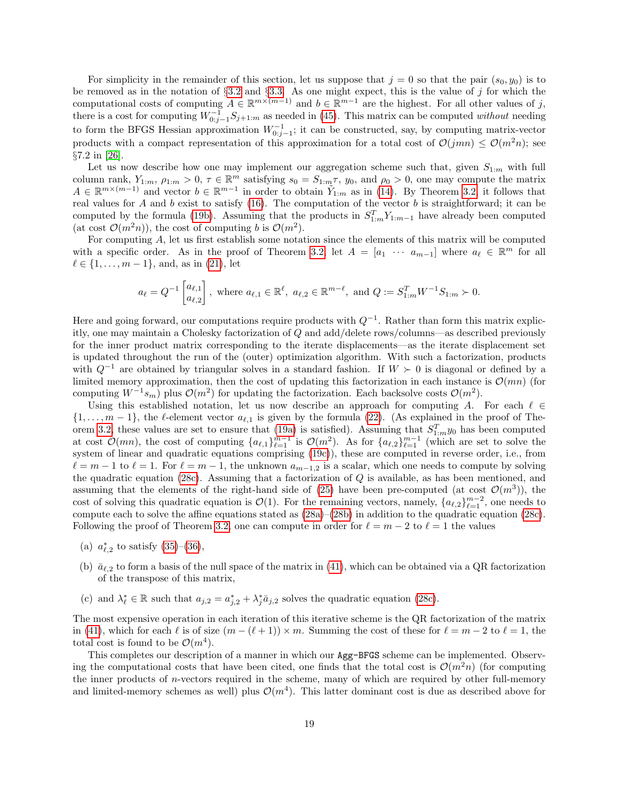For simplicity in the remainder of this section, let us suppose that  $j = 0$  so that the pair  $(s_0, y_0)$  is to be removed as in the notation of §[3.2](#page-8-3) and §[3.3.](#page-9-5) As one might expect, this is the value of j for which the computational costs of computing  $A \in \mathbb{R}^{m \times (m-1)}$  and  $b \in \mathbb{R}^{m-1}$  are the highest. For all other values of j, there is a cost for computing  $W_{0:j-1}^{-1}S_{j+1:m}$  as needed in [\(45\)](#page-17-3). This matrix can be computed without needing to form the BFGS Hessian approximation  $W_{0:j-1}^{-1}$ ; it can be constructed, say, by computing matrix-vector products with a compact representation of this approximation for a total cost of  $\mathcal{O}(jmn) \leq \mathcal{O}(m^2n)$ ; see §7.2 in [\[26\]](#page-23-0).

Let us now describe how one may implement our aggregation scheme such that, given  $S_{1:m}$  with full column rank,  $Y_{1:m}$ ,  $\rho_{1:m} > 0$ ,  $\tau \in \mathbb{R}^m$  satisfying  $s_0 = S_{1:m} \tau$ ,  $y_0$ , and  $\rho_0 > 0$ , one may compute the matrix  $A \in \mathbb{R}^{m \times (m-1)}$  and vector  $b \in \mathbb{R}^{m-1}$  in order to obtain  $\tilde{Y}_{1:m}$  as in [\(14\)](#page-9-1). By Theorem [3.2,](#page-9-4) it follows that real values for A and b exist to satisfy  $(16)$ . The computation of the vector b is straightforward; it can be computed by the formula [\(19b\)](#page-10-4). Assuming that the products in  $S_{1:m}^T Y_{1:m-1}$  have already been computed (at cost  $\mathcal{O}(m^2n)$ ), the cost of computing b is  $\mathcal{O}(m^2)$ .

For computing A, let us first establish some notation since the elements of this matrix will be computed with a specific order. As in the proof of Theorem [3.2,](#page-9-4) let  $A = [a_1 \cdots a_{m-1}]$  where  $a_\ell \in \mathbb{R}^m$  for all  $\ell \in \{1, \ldots, m - 1\}$ , and, as in [\(21\)](#page-11-5), let

$$
a_{\ell} = Q^{-1} \begin{bmatrix} a_{\ell,1} \\ a_{\ell,2} \end{bmatrix}
$$
, where  $a_{\ell,1} \in \mathbb{R}^{\ell}$ ,  $a_{\ell,2} \in \mathbb{R}^{m-\ell}$ , and  $Q := S_{1:m}^T W^{-1} S_{1:m} \succ 0$ .

Here and going forward, our computations require products with  $Q^{-1}$ . Rather than form this matrix explicitly, one may maintain a Cholesky factorization of Q and add/delete rows/columns—as described previously for the inner product matrix corresponding to the iterate displacements—as the iterate displacement set is updated throughout the run of the (outer) optimization algorithm. With such a factorization, products with  $Q^{-1}$  are obtained by triangular solves in a standard fashion. If  $W \succ 0$  is diagonal or defined by a limited memory approximation, then the cost of updating this factorization in each instance is  $\mathcal{O}(mn)$  (for computing  $W^{-1}s_m$ ) plus  $\mathcal{O}(m^2)$  for updating the factorization. Each backsolve costs  $\mathcal{O}(m^2)$ .

Using this established notation, let us now describe an approach for computing A. For each  $\ell \in$  $\{1,\ldots,m-1\}$ , the  $\ell$ -element vector  $a_{\ell,1}$  is given by the formula [\(22\)](#page-11-7). (As explained in the proof of The-orem [3.2,](#page-9-4) these values are set to ensure that [\(19a\)](#page-10-1) is satisfied). Assuming that  $S_{1:m}^T y_0$  has been computed at cost  $\mathcal{O}(mn)$ , the cost of computing  $\{a_{\ell,1}\}_{\ell=1}^{m-1}$  is  $\mathcal{O}(m^2)$ . As for  $\{a_{\ell,2}\}_{\ell=1}^{m-1}$  (which are set to solve the system of linear and quadratic equations comprising [\(19c\)](#page-10-3)), these are computed in reverse order, i.e., from  $\ell = m - 1$  to  $\ell = 1$ . For  $\ell = m - 1$ , the unknown  $a_{m-1,2}$  is a scalar, which one needs to compute by solving the quadratic equation [\(28c\)](#page-12-3). Assuming that a factorization of  $Q$  is available, as has been mentioned, and assuming that the elements of the right-hand side of [\(25\)](#page-11-4) have been pre-computed (at cost  $\mathcal{O}(m^3)$ ), the cost of solving this quadratic equation is  $\mathcal{O}(1)$ . For the remaining vectors, namely,  $\{a_{\ell,2}\}_{\ell=1}^{m-2}$ , one needs to compute each to solve the affine equations stated as [\(28a\)](#page-12-1)–[\(28b\)](#page-12-2) in addition to the quadratic equation [\(28c\)](#page-12-3). Following the proof of Theorem [3.2,](#page-9-4) one can compute in order for  $\ell = m - 2$  to  $\ell = 1$  the values

- (a)  $a_{\ell,2}^*$  to satisfy [\(35\)](#page-13-5)–[\(36\)](#page-13-7),
- (b)  $\bar{a}_{\ell,2}$  to form a basis of the null space of the matrix in [\(41\)](#page-15-1), which can be obtained via a QR factorization of the transpose of this matrix,
- (c) and  $\lambda_{\ell}^* \in \mathbb{R}$  such that  $a_{j,2} = a_{j,2}^* + \lambda_j^* \bar{a}_{j,2}$  solves the quadratic equation [\(28c\)](#page-12-3).

The most expensive operation in each iteration of this iterative scheme is the QR factorization of the matrix in [\(41\)](#page-15-1), which for each  $\ell$  is of size  $(m - (\ell + 1)) \times m$ . Summing the cost of these for  $\ell = m - 2$  to  $\ell = 1$ , the total cost is found to be  $\mathcal{O}(m^4)$ .

This completes our description of a manner in which our Agg-BFGS scheme can be implemented. Observing the computational costs that have been cited, one finds that the total cost is  $\mathcal{O}(m^2n)$  (for computing the inner products of n-vectors required in the scheme, many of which are required by other full-memory and limited-memory schemes as well) plus  $\mathcal{O}(m^4)$ . This latter dominant cost is due as described above for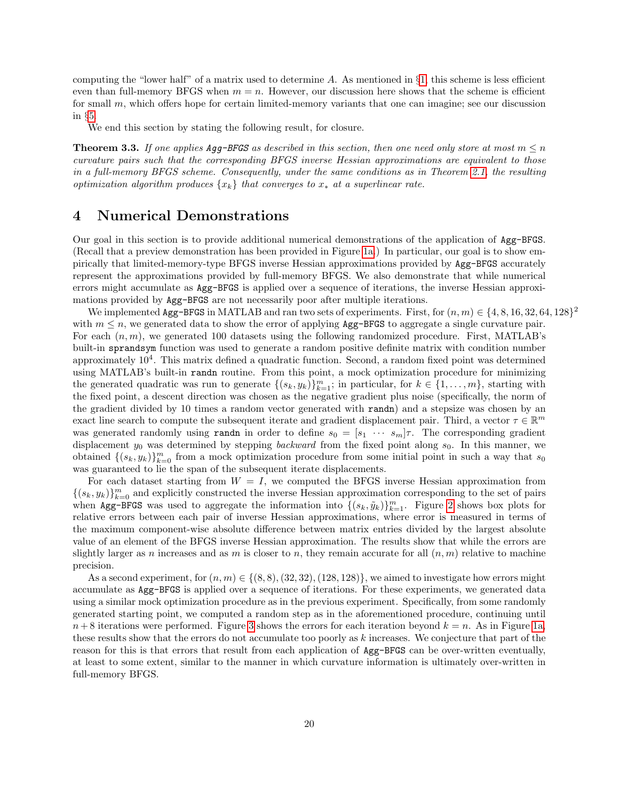computing the "lower half" of a matrix used to determine A. As mentioned in  $\S1$ , this scheme is less efficient even than full-memory BFGS when  $m = n$ . However, our discussion here shows that the scheme is efficient for small  $m$ , which offers hope for certain limited-memory variants that one can imagine; see our discussion in §[5.](#page-20-0)

We end this section by stating the following result, for closure.

**Theorem 3.3.** If one applies Agg-BFGS as described in this section, then one need only store at most  $m \leq n$ curvature pairs such that the corresponding BFGS inverse Hessian approximations are equivalent to those in a full-memory BFGS scheme. Consequently, under the same conditions as in Theorem [2.1,](#page-5-4) the resulting optimization algorithm produces  $\{x_k\}$  that converges to  $x_*$  at a superlinear rate.

## <span id="page-19-0"></span>4 Numerical Demonstrations

Our goal in this section is to provide additional numerical demonstrations of the application of Agg-BFGS. (Recall that a preview demonstration has been provided in Figure [1a.](#page-8-0)) In particular, our goal is to show empirically that limited-memory-type BFGS inverse Hessian approximations provided by Agg-BFGS accurately represent the approximations provided by full-memory BFGS. We also demonstrate that while numerical errors might accumulate as Agg-BFGS is applied over a sequence of iterations, the inverse Hessian approximations provided by Agg-BFGS are not necessarily poor after multiple iterations.

We implemented Agg-BFGS in MATLAB and ran two sets of experiments. First, for  $(n, m) \in \{4, 8, 16, 32, 64, 128\}^2$ with  $m \leq n$ , we generated data to show the error of applying Agg-BFGS to aggregate a single curvature pair. For each  $(n, m)$ , we generated 100 datasets using the following randomized procedure. First, MATLAB's built-in sprandsym function was used to generate a random positive definite matrix with condition number approximately  $10<sup>4</sup>$ . This matrix defined a quadratic function. Second, a random fixed point was determined using MATLAB's built-in randn routine. From this point, a mock optimization procedure for minimizing the generated quadratic was run to generate  $\{(s_k, y_k)\}_{k=1}^m$ ; in particular, for  $k \in \{1, \ldots, m\}$ , starting with the fixed point, a descent direction was chosen as the negative gradient plus noise (specifically, the norm of the gradient divided by 10 times a random vector generated with randn) and a stepsize was chosen by an exact line search to compute the subsequent iterate and gradient displacement pair. Third, a vector  $\tau \in \mathbb{R}^m$ was generated randomly using randn in order to define  $s_0 = [s_1 \cdots s_m]\tau$ . The corresponding gradient displacement  $y_0$  was determined by stepping *backward* from the fixed point along  $s_0$ . In this manner, we obtained  $\{(s_k, y_k)\}_{k=0}^m$  from a mock optimization procedure from some initial point in such a way that  $s_0$ was guaranteed to lie the span of the subsequent iterate displacements.

For each dataset starting from  $W = I$ , we computed the BFGS inverse Hessian approximation from  $\{(s_k, y_k)\}_{k=0}^m$  and explicitly constructed the inverse Hessian approximation corresponding to the set of pairs when Agg-BFGS was used to aggregate the information into  $\{(s_k, \tilde{y}_k)\}_{k=1}^m$ . Figure [2](#page-20-1) shows box plots for relative errors between each pair of inverse Hessian approximations, where error is measured in terms of the maximum component-wise absolute difference between matrix entries divided by the largest absolute value of an element of the BFGS inverse Hessian approximation. The results show that while the errors are slightly larger as n increases and as m is closer to n, they remain accurate for all  $(n, m)$  relative to machine precision.

As a second experiment, for  $(n, m) \in \{(8, 8), (32, 32), (128, 128)\}$ , we aimed to investigate how errors might accumulate as Agg-BFGS is applied over a sequence of iterations. For these experiments, we generated data using a similar mock optimization procedure as in the previous experiment. Specifically, from some randomly generated starting point, we computed a random step as in the aforementioned procedure, continuing until  $n+8$  iterations were performed. Figure [3](#page-21-6) shows the errors for each iteration beyond  $k = n$ . As in Figure [1a,](#page-8-0) these results show that the errors do not accumulate too poorly as k increases. We conjecture that part of the reason for this is that errors that result from each application of Agg-BFGS can be over-written eventually, at least to some extent, similar to the manner in which curvature information is ultimately over-written in full-memory BFGS.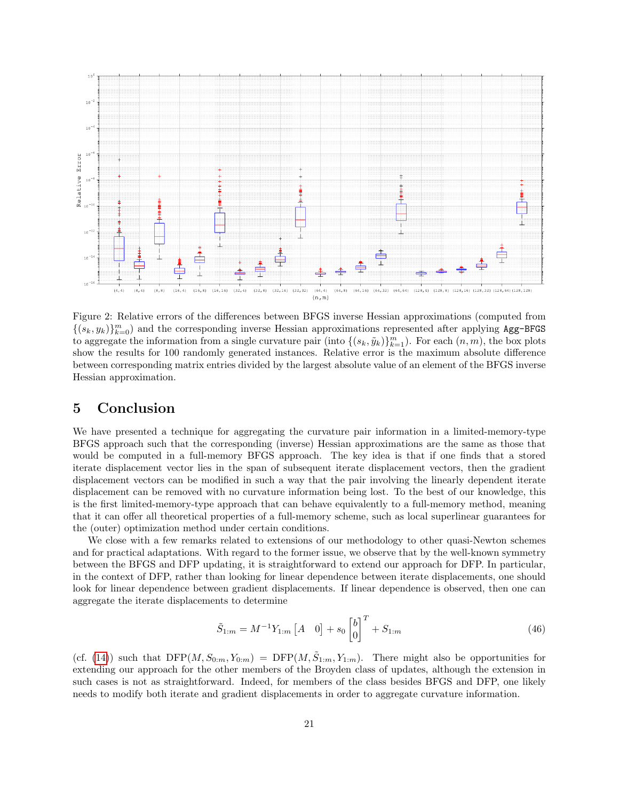<span id="page-20-1"></span>

Figure 2: Relative errors of the differences between BFGS inverse Hessian approximations (computed from  $\{(s_k, y_k)\}_{k=0}^m$  and the corresponding inverse Hessian approximations represented after applying Agg-BFGS to aggregate the information from a single curvature pair (into  $\{(s_k, \tilde{y}_k)\}_{k=1}^m$ ). For each  $(n, m)$ , the box plots show the results for 100 randomly generated instances. Relative error is the maximum absolute difference between corresponding matrix entries divided by the largest absolute value of an element of the BFGS inverse Hessian approximation.

## <span id="page-20-0"></span>5 Conclusion

We have presented a technique for aggregating the curvature pair information in a limited-memory-type BFGS approach such that the corresponding (inverse) Hessian approximations are the same as those that would be computed in a full-memory BFGS approach. The key idea is that if one finds that a stored iterate displacement vector lies in the span of subsequent iterate displacement vectors, then the gradient displacement vectors can be modified in such a way that the pair involving the linearly dependent iterate displacement can be removed with no curvature information being lost. To the best of our knowledge, this is the first limited-memory-type approach that can behave equivalently to a full-memory method, meaning that it can offer all theoretical properties of a full-memory scheme, such as local superlinear guarantees for the (outer) optimization method under certain conditions.

We close with a few remarks related to extensions of our methodology to other quasi-Newton schemes and for practical adaptations. With regard to the former issue, we observe that by the well-known symmetry between the BFGS and DFP updating, it is straightforward to extend our approach for DFP. In particular, in the context of DFP, rather than looking for linear dependence between iterate displacements, one should look for linear dependence between gradient displacements. If linear dependence is observed, then one can aggregate the iterate displacements to determine

$$
\tilde{S}_{1:m} = M^{-1} Y_{1:m} \begin{bmatrix} A & 0 \end{bmatrix} + s_0 \begin{bmatrix} b \\ 0 \end{bmatrix}^T + S_{1:m} \tag{46}
$$

(cf. [\(14\)](#page-9-1)) such that  $DFP(M, S_{0:m}, Y_{0:m}) = DFP(M, \tilde{S}_{1:m}, Y_{1:m})$ . There might also be opportunities for extending our approach for the other members of the Broyden class of updates, although the extension in such cases is not as straightforward. Indeed, for members of the class besides BFGS and DFP, one likely needs to modify both iterate and gradient displacements in order to aggregate curvature information.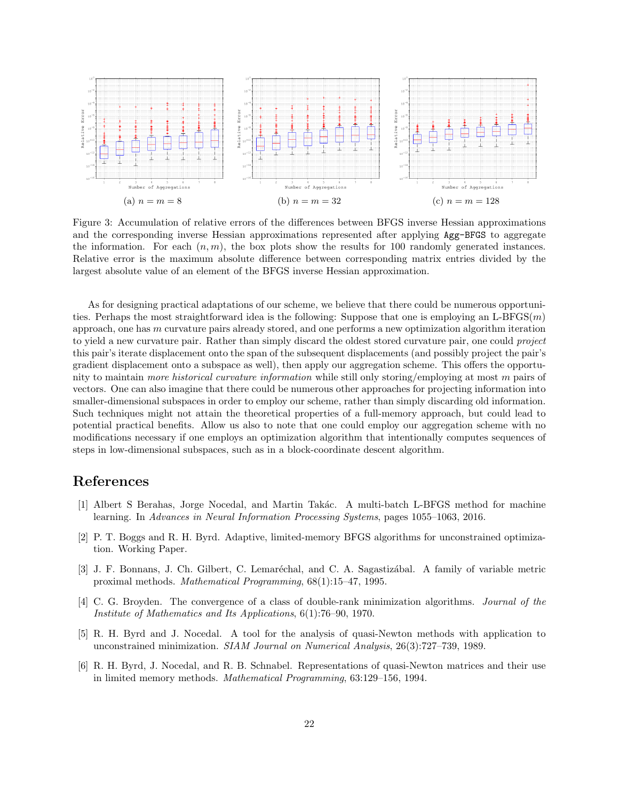<span id="page-21-6"></span>

Figure 3: Accumulation of relative errors of the differences between BFGS inverse Hessian approximations and the corresponding inverse Hessian approximations represented after applying Agg-BFGS to aggregate the information. For each  $(n, m)$ , the box plots show the results for 100 randomly generated instances. Relative error is the maximum absolute difference between corresponding matrix entries divided by the largest absolute value of an element of the BFGS inverse Hessian approximation.

As for designing practical adaptations of our scheme, we believe that there could be numerous opportunities. Perhaps the most straightforward idea is the following: Suppose that one is employing an L-BFGS $(m)$ approach, one has  $m$  curvature pairs already stored, and one performs a new optimization algorithm iteration to yield a new curvature pair. Rather than simply discard the oldest stored curvature pair, one could *project* this pair's iterate displacement onto the span of the subsequent displacements (and possibly project the pair's gradient displacement onto a subspace as well), then apply our aggregation scheme. This offers the opportunity to maintain more historical curvature information while still only storing/employing at most m pairs of vectors. One can also imagine that there could be numerous other approaches for projecting information into smaller-dimensional subspaces in order to employ our scheme, rather than simply discarding old information. Such techniques might not attain the theoretical properties of a full-memory approach, but could lead to potential practical benefits. Allow us also to note that one could employ our aggregation scheme with no modifications necessary if one employs an optimization algorithm that intentionally computes sequences of steps in low-dimensional subspaces, such as in a block-coordinate descent algorithm.

## References

- <span id="page-21-3"></span>[1] Albert S Berahas, Jorge Nocedal, and Martin Takác. A multi-batch L-BFGS method for machine learning. In Advances in Neural Information Processing Systems, pages 1055–1063, 2016.
- <span id="page-21-4"></span>[2] P. T. Boggs and R. H. Byrd. Adaptive, limited-memory BFGS algorithms for unconstrained optimization. Working Paper.
- <span id="page-21-2"></span>[3] J. F. Bonnans, J. Ch. Gilbert, C. Lemaréchal, and C. A. Sagastizábal. A family of variable metric proximal methods. Mathematical Programming, 68(1):15–47, 1995.
- <span id="page-21-1"></span>[4] C. G. Broyden. The convergence of a class of double-rank minimization algorithms. Journal of the Institute of Mathematics and Its Applications, 6(1):76–90, 1970.
- <span id="page-21-0"></span>[5] R. H. Byrd and J. Nocedal. A tool for the analysis of quasi-Newton methods with application to unconstrained minimization. SIAM Journal on Numerical Analysis, 26(3):727–739, 1989.
- <span id="page-21-5"></span>[6] R. H. Byrd, J. Nocedal, and R. B. Schnabel. Representations of quasi-Newton matrices and their use in limited memory methods. Mathematical Programming, 63:129–156, 1994.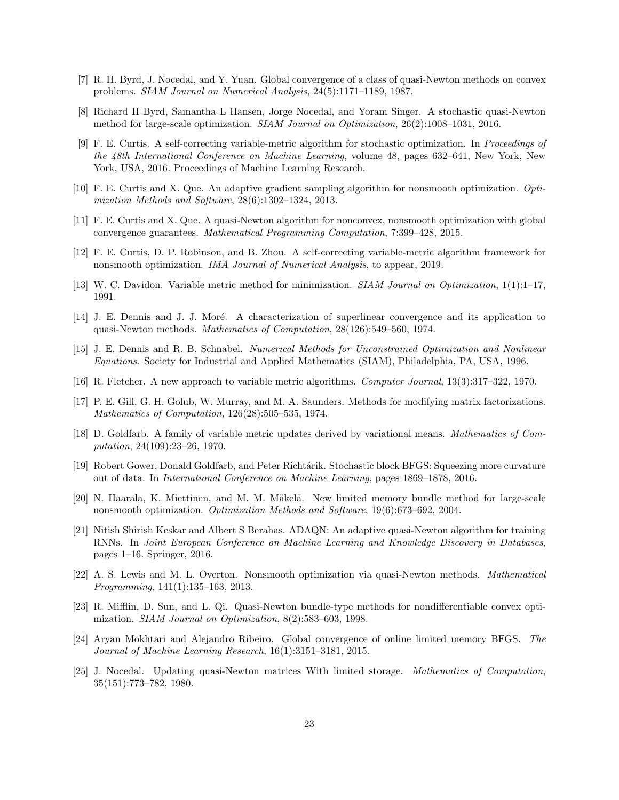- <span id="page-22-1"></span>[7] R. H. Byrd, J. Nocedal, and Y. Yuan. Global convergence of a class of quasi-Newton methods on convex problems. SIAM Journal on Numerical Analysis, 24(5):1171–1189, 1987.
- <span id="page-22-11"></span>[8] Richard H Byrd, Samantha L Hansen, Jorge Nocedal, and Yoram Singer. A stochastic quasi-Newton method for large-scale optimization. SIAM Journal on Optimization, 26(2):1008–1031, 2016.
- <span id="page-22-12"></span>[9] F. E. Curtis. A self-correcting variable-metric algorithm for stochastic optimization. In Proceedings of the 48th International Conference on Machine Learning, volume 48, pages 632–641, New York, New York, USA, 2016. Proceedings of Machine Learning Research.
- <span id="page-22-6"></span>[10] F. E. Curtis and X. Que. An adaptive gradient sampling algorithm for nonsmooth optimization. Optimization Methods and Software, 28(6):1302–1324, 2013.
- <span id="page-22-7"></span>[11] F. E. Curtis and X. Que. A quasi-Newton algorithm for nonconvex, nonsmooth optimization with global convergence guarantees. Mathematical Programming Computation, 7:399–428, 2015.
- <span id="page-22-17"></span>[12] F. E. Curtis, D. P. Robinson, and B. Zhou. A self-correcting variable-metric algorithm framework for nonsmooth optimization. IMA Journal of Numerical Analysis, to appear, 2019.
- <span id="page-22-0"></span>[13] W. C. Davidon. Variable metric method for minimization. SIAM Journal on Optimization, 1(1):1–17, 1991.
- <span id="page-22-2"></span>[14] J. E. Dennis and J. J. Moré. A characterization of superlinear convergence and its application to quasi-Newton methods. Mathematics of Computation, 28(126):549–560, 1974.
- <span id="page-22-3"></span>[15] J. E. Dennis and R. B. Schnabel. Numerical Methods for Unconstrained Optimization and Nonlinear Equations. Society for Industrial and Applied Mathematics (SIAM), Philadelphia, PA, USA, 1996.
- <span id="page-22-4"></span>[16] R. Fletcher. A new approach to variable metric algorithms. Computer Journal, 13(3):317–322, 1970.
- <span id="page-22-18"></span>[17] P. E. Gill, G. H. Golub, W. Murray, and M. A. Saunders. Methods for modifying matrix factorizations. Mathematics of Computation, 126(28):505–535, 1974.
- <span id="page-22-5"></span>[18] D. Goldfarb. A family of variable metric updates derived by variational means. Mathematics of Computation, 24(109):23–26, 1970.
- <span id="page-22-13"></span>[19] Robert Gower, Donald Goldfarb, and Peter Richtárik. Stochastic block BFGS: Squeezing more curvature out of data. In International Conference on Machine Learning, pages 1869–1878, 2016.
- <span id="page-22-8"></span>[20] N. Haarala, K. Miettinen, and M. M. Mäkelä. New limited memory bundle method for large-scale nonsmooth optimization. Optimization Methods and Software, 19(6):673–692, 2004.
- <span id="page-22-14"></span>[21] Nitish Shirish Keskar and Albert S Berahas. ADAQN: An adaptive quasi-Newton algorithm for training RNNs. In Joint European Conference on Machine Learning and Knowledge Discovery in Databases, pages 1–16. Springer, 2016.
- <span id="page-22-9"></span>[22] A. S. Lewis and M. L. Overton. Nonsmooth optimization via quasi-Newton methods. Mathematical Programming, 141(1):135–163, 2013.
- <span id="page-22-10"></span>[23] R. Mifflin, D. Sun, and L. Qi. Quasi-Newton bundle-type methods for nondifferentiable convex optimization. SIAM Journal on Optimization, 8(2):583–603, 1998.
- <span id="page-22-15"></span>[24] Aryan Mokhtari and Alejandro Ribeiro. Global convergence of online limited memory BFGS. The Journal of Machine Learning Research, 16(1):3151–3181, 2015.
- <span id="page-22-16"></span>[25] J. Nocedal. Updating quasi-Newton matrices With limited storage. Mathematics of Computation, 35(151):773–782, 1980.